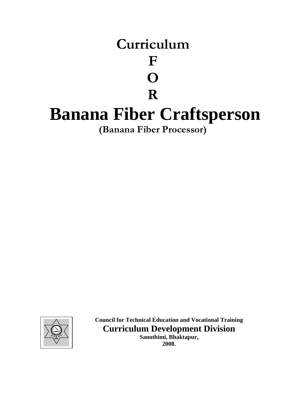



**Council for Technical Education and Vocational Training Curriculum Development Division Sanothimi, Bhaktapur,**

**2008.**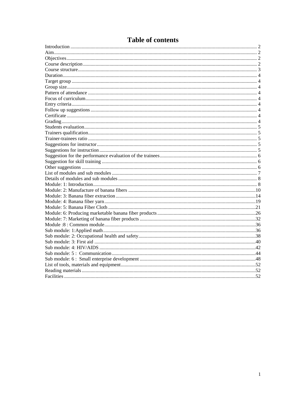# **Table of contents**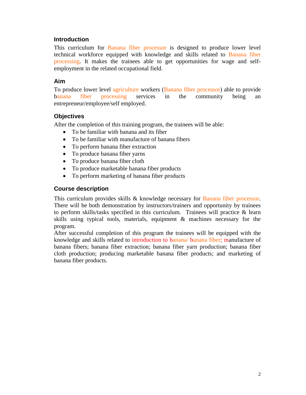#### <span id="page-2-0"></span>**Introduction**

This curriculum for Banana fiber processor is designed to produce lower level technical workforce equipped with knowledge and skills related to Banana fiber processing. It makes the trainees able to get opportunities for wage and selfemployment in the related occupational field.

#### <span id="page-2-1"></span>**Aim**

To produce lower level agriculture workers (Banana fiber processor) able to provide banana fiber processing services in the community being an entrepreneur/employee/self employed.

#### <span id="page-2-2"></span>**Objectives**

After the completion of this training program, the trainees will be able:

- To be familiar with banana and its fiber
- To be familiar with manufacture of banana fibers
- To perform banana fiber extraction
- To produce banana fiber yarns
- To produce banana fiber cloth
- To produce marketable banana fiber products
- To perform marketing of banana fiber products

#### <span id="page-2-3"></span>**Course description**

This curriculum provides skills & knowledge necessary for Banana fiber processor. There will be both demonstration by instructors/trainers and opportunity by trainees to perform skills/tasks specified in this curriculum. Trainees will practice & learn skills using typical tools, materials, equipment & machines necessary for the program.

After successful completion of this program the trainees will be equipped with the knowledge and skills related to introduction to banana/ banana fiber; manufacture of banana fibers; banana fiber extraction; banana fiber yarn production; banana fiber cloth production; producing marketable banana fiber products; and marketing of banana fiber products.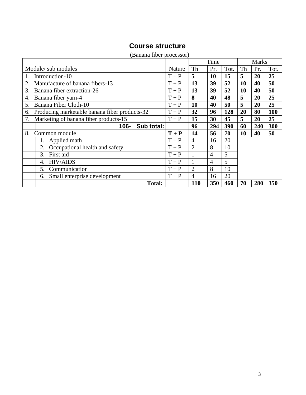# **Course structure**

<span id="page-3-0"></span>

|                                                     |         |                | Time           |      |           | <b>Marks</b> |      |
|-----------------------------------------------------|---------|----------------|----------------|------|-----------|--------------|------|
| Module/ sub modules                                 | Nature  | Th             | Pr.            | Tot. | Th        | Pr.          | Tot. |
| Introduction-10<br>1.                               | $T+P$   | 5              | 10             | 15   | 5         | 20           | 25   |
| Manufacture of banana fibers-13<br>2.               | $T+P$   | 13             | 39             | 52   | 10        | 40           | 50   |
| 3.<br>Banana fiber extraction-26                    | $T+P$   | 13             | 39             | 52   | <b>10</b> | 40           | 50   |
| Banana fiber yarn-4<br>4.                           | $T+P$   | 8              | 40             | 48   | 5         | 20           | 25   |
| Banana Fiber Cloth-10<br>5.                         | $T+P$   | <b>10</b>      | 40             | 50   | 5         | 20           | 25   |
| Producing marketable banana fiber products-32<br>6. | $T+P$   | 32             | 96             | 128  | 20        | 80           | 100  |
| Marketing of banana fiber products-15<br>7.         | $T+P$   | 15             | 30             | 45   | 5         | 20           | 25   |
| Sub total:<br>106-                                  |         | 96             | 294            | 390  | 60        | 240          | 300  |
| 8.<br>Common module                                 | $T + P$ | 14             | 56             | 70   | <b>10</b> | 40           | 50   |
| Applied math<br>1.                                  | $T+P$   | $\overline{4}$ | 16             | 20   |           |              |      |
| Occupational health and safety<br>2.                | $T+P$   | $\overline{2}$ | 8              | 10   |           |              |      |
| First aid<br>3.                                     | $T+P$   |                | 4              | 5    |           |              |      |
| <b>HIV/AIDS</b><br>$\overline{4}$ .                 | $T+P$   |                | $\overline{4}$ | 5    |           |              |      |
| 5.<br>Communication                                 | $T+P$   | 2              | 8              | 10   |           |              |      |
| Small enterprise development<br>6.                  | $T+P$   | $\overline{4}$ | 16             | 20   |           |              |      |
| <b>Total:</b>                                       |         | <b>110</b>     | 350            | 460  | 70        | 280          | 350  |

#### (Banana fiber processor)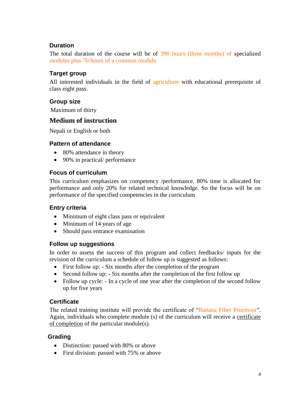## <span id="page-4-0"></span>**Duration**

The total duration of the course will be of 390 hours (three months) of specialized modules plus 70 hours of a common module.

## <span id="page-4-1"></span>**Target group**

All interested individuals in the field of agriculture with educational prerequisite of class eight pass.

#### <span id="page-4-2"></span>**Group size**

Maximum of thirty

# **Medium of instruction**

Nepali or English or both

#### <span id="page-4-3"></span>**Pattern of attendance**

- 80% attendance in theory
- 90% in practical/ performance

## <span id="page-4-4"></span>**Focus of curriculum**

This curriculum emphasizes on competency /performance. 80% time is allocated for performance and only 20% for related technical knowledge. So the focus will be on performance of the specified competencies in the curriculum

# <span id="page-4-5"></span>**Entry criteria**

- Minimum of eight class pass or equivalent
- Minimum of 14 years of age
- Should pass entrance examination

#### <span id="page-4-6"></span>**Follow up suggestions**

In order to assess the success of this program and collect feedbacks/ inputs for the revision of the curriculum a schedule of follow up is suggested as follows:

- First follow up: Six months after the completion of the program
- Second follow up: Six months after the completion of the first follow up
- Follow up cycle: In a cycle of one year after the completion of the second follow up for five years

#### <span id="page-4-7"></span>**Certificate**

The related training institute will provide the certificate of "Banana Fiber Processor". Again, individuals who complete module (s) of the curriculum will receive a certificate of completion of the particular module(s).

#### <span id="page-4-8"></span>**Grading**

- Distinction: passed with 80% or above
- First division: passed with 75% or above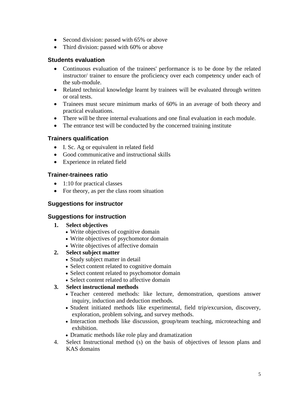- Second division: passed with 65% or above
- Third division: passed with 60% or above

#### <span id="page-5-0"></span>**Students evaluation**

- Continuous evaluation of the trainees' performance is to be done by the related instructor/ trainer to ensure the proficiency over each competency under each of the sub-module.
- Related technical knowledge learnt by trainees will be evaluated through written or oral tests.
- Trainees must secure minimum marks of 60% in an average of both theory and practical evaluations.
- There will be three internal evaluations and one final evaluation in each module.
- The entrance test will be conducted by the concerned training institute

# <span id="page-5-1"></span>**Trainers qualification**

- I. Sc. Ag or equivalent in related field
- Good communicative and instructional skills
- Experience in related field

## <span id="page-5-2"></span>**Trainer-trainees ratio**

- 1:10 for practical classes
- For theory, as per the class room situation

# <span id="page-5-3"></span>**Suggestions for instructor**

#### <span id="page-5-4"></span>**Suggestions for instruction**

- **1. Select objectives**
	- Write objectives of cognitive domain
	- Write objectives of psychomotor domain
	- Write objectives of affective domain

#### **2. Select subject matter**

- Study subject matter in detail
- Select content related to cognitive domain
- Select content related to psychomotor domain
- Select content related to affective domain

#### **3. Select instructional methods**

- Teacher centered methods: like lecture, demonstration, questions answer inquiry, induction and deduction methods.
- Student initiated methods like experimental, field trip/excursion, discovery, exploration, problem solving, and survey methods.
- Interaction methods like discussion, group/team teaching, microteaching and exhibition.
- Dramatic methods like role play and dramatization
- 4. Select Instructional method (s) on the basis of objectives of lesson plans and KAS domains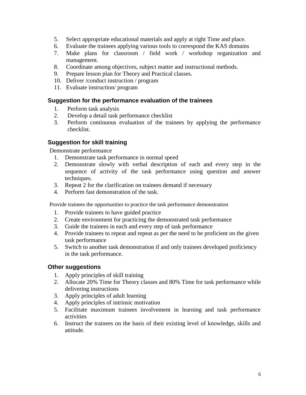- 5. Select appropriate educational materials and apply at right Time and place.
- 6. Evaluate the trainees applying various tools to correspond the KAS domains
- 7. Make plans for classroom / field work / workshop organization and management.
- 8. Coordinate among objectives, subject matter and instructional methods.
- 9. Prepare lesson plan for Theory and Practical classes.
- 10. Deliver /conduct instruction / program
- 11. Evaluate instruction/ program

#### <span id="page-6-0"></span>**Suggestion for the performance evaluation of the trainees**

- 1. Perform task analysis
- 2. Develop a detail task performance checklist
- 3. Perform continuous evaluation of the trainees by applying the performance checklist.

#### <span id="page-6-1"></span>**Suggestion for skill training**

Demonstrate performance

- 1. Demonstrate task performance in normal speed
- 2. Demonstrate slowly with verbal description of each and every step in the sequence of activity of the task performance using question and answer techniques.
- 3. Repeat 2 for the clarification on trainees demand if necessary
- 4. Perform fast demonstration of the task.

Provide trainees the opportunities to practice the task performance demonstration

- 1. Provide trainees to have guided practice
- 2. Create environment for practicing the demonstrated task performance
- 3. Guide the trainees in each and every step of task performance
- 4. Provide trainees to repeat and repeat as per the need to be proficient on the given task performance
- 5. Switch to another task demonstration if and only trainees developed proficiency in the task performance.

#### <span id="page-6-2"></span>**Other suggestions**

- 1. Apply principles of skill training
- 2. Allocate 20% Time for Theory classes and 80% Time for task performance while delivering instructions
- 3. Apply principles of adult learning
- 4. Apply principles of intrinsic motivation
- 5. Facilitate maximum trainees involvement in learning and task performance activities
- 6. Instruct the trainees on the basis of their existing level of knowledge, skills and attitude.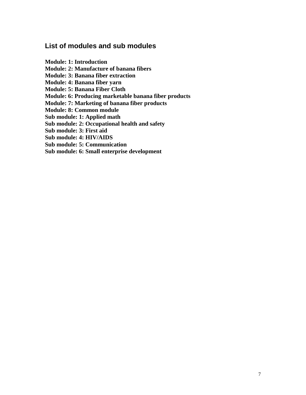# <span id="page-7-0"></span>**List of modules and sub modules**

**Module: 1: Introduction Module: 2: Manufacture of banana fibers Module: 3: Banana fiber extraction Module: 4: Banana fiber yarn Module: 5: Banana Fiber Cloth Module: 6: Producing marketable banana fiber products Module: 7: Marketing of banana fiber products Module: 8: Common module Sub module: 1: Applied math Sub module: 2: Occupational health and safety Sub module: 3: First aid Sub module: 4: HIV/AIDS Sub module: 5: Communication Sub module: 6: Small enterprise development**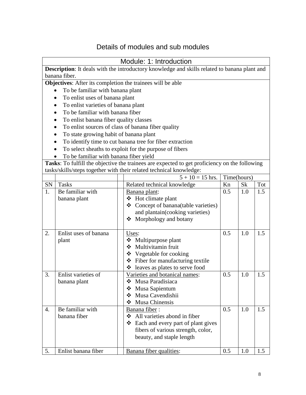# Details of modules and sub modules

<span id="page-8-1"></span><span id="page-8-0"></span>

|                  | Module: 1: Introduction                                                                      |                                                                                               |             |           |     |  |  |  |  |
|------------------|----------------------------------------------------------------------------------------------|-----------------------------------------------------------------------------------------------|-------------|-----------|-----|--|--|--|--|
|                  | Description: It deals with the introductory knowledge and skills related to banana plant and |                                                                                               |             |           |     |  |  |  |  |
|                  | banana fiber.                                                                                |                                                                                               |             |           |     |  |  |  |  |
|                  | Objectives: After its completion the trainees will be able                                   |                                                                                               |             |           |     |  |  |  |  |
|                  | To be familiar with banana plant                                                             |                                                                                               |             |           |     |  |  |  |  |
|                  | To enlist uses of banana plant                                                               |                                                                                               |             |           |     |  |  |  |  |
|                  | To enlist varieties of banana plant                                                          |                                                                                               |             |           |     |  |  |  |  |
|                  | To be familiar with banana fiber                                                             |                                                                                               |             |           |     |  |  |  |  |
|                  | To enlist banana fiber quality classes                                                       |                                                                                               |             |           |     |  |  |  |  |
|                  |                                                                                              | To enlist sources of class of banana fiber quality                                            |             |           |     |  |  |  |  |
|                  | To state growing habit of banana plant                                                       |                                                                                               |             |           |     |  |  |  |  |
|                  |                                                                                              | To identify time to cut banana tree for fiber extraction                                      |             |           |     |  |  |  |  |
|                  |                                                                                              | To select sheaths to exploit for the purpose of fibers                                        |             |           |     |  |  |  |  |
|                  | To be familiar with banana fiber yield                                                       |                                                                                               |             |           |     |  |  |  |  |
|                  |                                                                                              | Tasks: To fulfill the objective the trainees are expected to get proficiency on the following |             |           |     |  |  |  |  |
|                  |                                                                                              | tasks/skills/steps together with their related technical knowledge:                           |             |           |     |  |  |  |  |
|                  |                                                                                              | $5 + 10 = 15$ hrs.                                                                            | Time(hours) |           |     |  |  |  |  |
| SN               | <b>Tasks</b>                                                                                 | Related technical knowledge                                                                   | Kn          | <b>Sk</b> | Tot |  |  |  |  |
| 1.               | Be familiar with                                                                             | Banana plant:                                                                                 | 0.5         | 1.0       | 1.5 |  |  |  |  |
|                  | banana plant                                                                                 | ❖ Hot climate plant                                                                           |             |           |     |  |  |  |  |
|                  |                                                                                              | ❖ Concept of banana(table varieties)                                                          |             |           |     |  |  |  |  |
|                  |                                                                                              | and plantain(cooking varieties)                                                               |             |           |     |  |  |  |  |
|                  |                                                                                              | Morphology and botany<br>❖                                                                    |             |           |     |  |  |  |  |
|                  |                                                                                              |                                                                                               |             |           |     |  |  |  |  |
| 2.               | Enlist uses of banana                                                                        | Uses:                                                                                         | 0.5         | 1.0       | 1.5 |  |  |  |  |
|                  | plant                                                                                        | ❖ Multipurpose plant                                                                          |             |           |     |  |  |  |  |
|                  |                                                                                              | Multivitamin fruit                                                                            |             |           |     |  |  |  |  |
|                  |                                                                                              | ❖ Vegetable for cooking                                                                       |             |           |     |  |  |  |  |
|                  |                                                                                              | ❖ Fiber for manufacturing textile                                                             |             |           |     |  |  |  |  |
|                  |                                                                                              | bleaves as plates to serve food                                                               |             |           |     |  |  |  |  |
| 3.               | Enlist varieties of                                                                          | Varieties and botanical names:                                                                | 0.5         | 1.0       | 1.5 |  |  |  |  |
|                  | banana plant                                                                                 | Musa Paradisiaca<br>❖                                                                         |             |           |     |  |  |  |  |
|                  |                                                                                              | Musa Sapientum<br>❖                                                                           |             |           |     |  |  |  |  |
|                  |                                                                                              | Musa Cavendishii<br>❖<br>Musa Chinensis<br>❖                                                  |             |           |     |  |  |  |  |
| $\overline{4}$ . | Be familiar with                                                                             | Banana fiber:                                                                                 | 0.5         | 1.0       | 1.5 |  |  |  |  |
|                  | banana fiber                                                                                 | All varieties abond in fiber                                                                  |             |           |     |  |  |  |  |
|                  |                                                                                              | ❖<br>Each and every part of plant gives                                                       |             |           |     |  |  |  |  |
|                  |                                                                                              | fibers of various strength, color,                                                            |             |           |     |  |  |  |  |
|                  |                                                                                              | beauty, and staple length                                                                     |             |           |     |  |  |  |  |
|                  |                                                                                              |                                                                                               |             |           |     |  |  |  |  |
| 5.               | Enlist banana fiber                                                                          | Banana fiber qualities:                                                                       | 0.5         | 1.0       | 1.5 |  |  |  |  |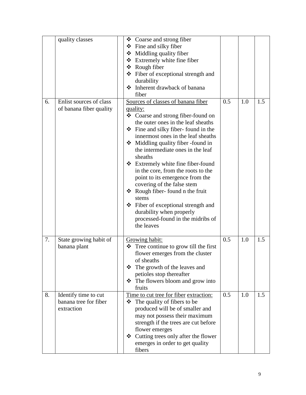|    | quality classes                                             | $\triangleleft$ Coarse and strong fiber<br>$\div$ Fine and silky fiber<br>Middling quality fiber<br>❖ Extremely white fine fiber<br>❖ Rough fiber<br>❖ Fiber of exceptional strength and<br>durability<br>❖ Inherent drawback of banana<br>fiber                                                                                                                                                                                                                                                                                                                                                                              |     |     |     |
|----|-------------------------------------------------------------|-------------------------------------------------------------------------------------------------------------------------------------------------------------------------------------------------------------------------------------------------------------------------------------------------------------------------------------------------------------------------------------------------------------------------------------------------------------------------------------------------------------------------------------------------------------------------------------------------------------------------------|-----|-----|-----|
| 6. | Enlist sources of class<br>of banana fiber quality          | Sources of classes of banana fiber<br>quality:<br>❖ Coarse and strong fiber-found on<br>the outer ones in the leaf sheaths<br>$\div$ Fine and silky fiber-found in the<br>innermost ones in the leaf sheaths<br>Middling quality fiber -found in<br>the intermediate ones in the leaf<br>sheaths<br>❖ Extremely white fine fiber-found<br>in the core, from the roots to the<br>point to its emergence from the<br>covering of the false stem<br>$\triangleleft$ Rough fiber-found n the fruit<br>stems<br>❖ Fiber of exceptional strength and<br>durability when properly<br>processed-found in the midribs of<br>the leaves | 0.5 | 1.0 | 1.5 |
| 7. | State growing habit of<br>banana plant                      | Growing habit:<br>$\triangleleft$ Tree continue to grow till the first<br>flower emerges from the cluster<br>of sheaths<br>$\div$ The growth of the leaves and<br>petioles stop thereafter<br>The flowers bloom and grow into<br>❖<br>fruits                                                                                                                                                                                                                                                                                                                                                                                  | 0.5 | 1.0 | 1.5 |
| 8. | Identify time to cut<br>banana tree for fiber<br>extraction | Time to cut tree for fiber extraction:<br>The quality of fibers to be<br>❖<br>produced will be of smaller and<br>may not possess their maximum<br>strength if the trees are cut before<br>flower emerges<br>❖ Cutting trees only after the flower<br>emerges in order to get quality<br>fibers                                                                                                                                                                                                                                                                                                                                | 0.5 | 1.0 | 1.5 |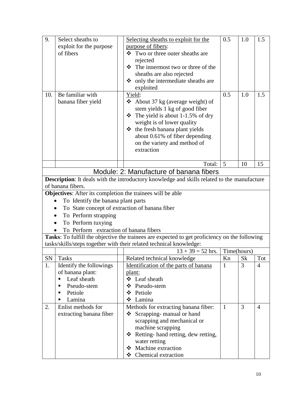<span id="page-10-0"></span>

| 9.  | Select sheaths to                                                 | Selecting sheaths to exploit for the                                                          | 0.5          | 1.0            | 1.5            |
|-----|-------------------------------------------------------------------|-----------------------------------------------------------------------------------------------|--------------|----------------|----------------|
|     | exploit for the purpose                                           | purpose of fibers:                                                                            |              |                |                |
|     | of fibers                                                         | ❖ Two or three outer sheaths are                                                              |              |                |                |
|     |                                                                   | rejected                                                                                      |              |                |                |
|     |                                                                   | $\div$ The innermost two or three of the                                                      |              |                |                |
|     |                                                                   | sheaths are also rejected                                                                     |              |                |                |
|     |                                                                   | only the intermediate sheaths are<br>❖                                                        |              |                |                |
|     |                                                                   | exploited                                                                                     |              |                |                |
| 10. | Be familiar with                                                  | Yield:                                                                                        | 0.5          | 1.0            | 1.5            |
|     | banana fiber yield                                                | About 37 kg (average weight) of<br>❖                                                          |              |                |                |
|     |                                                                   | stem yields 1 kg of good fiber                                                                |              |                |                |
|     |                                                                   | The yield is about 1-1.5% of dry<br>❖                                                         |              |                |                |
|     |                                                                   | weight is of lower quality                                                                    |              |                |                |
|     |                                                                   | $\div$ the fresh banana plant yields                                                          |              |                |                |
|     |                                                                   | about 0.61% of fiber depending                                                                |              |                |                |
|     |                                                                   | on the variety and method of                                                                  |              |                |                |
|     |                                                                   | extraction                                                                                    |              |                |                |
|     |                                                                   |                                                                                               |              |                |                |
|     |                                                                   | Total:                                                                                        | 5            | 10             | 15             |
|     |                                                                   | Module: 2: Manufacture of banana fibers                                                       |              |                |                |
|     |                                                                   | Description: It deals with the introductory knowledge and skills related to the manufacture   |              |                |                |
|     | of banana fibers.                                                 |                                                                                               |              |                |                |
|     | <b>Objectives:</b> After its completion the trainees will be able |                                                                                               |              |                |                |
|     | To Identify the banana plant parts                                |                                                                                               |              |                |                |
|     | To State concept of extraction of banana fiber                    |                                                                                               |              |                |                |
|     | To Perform strapping                                              |                                                                                               |              |                |                |
|     | To Perform tuxying                                                |                                                                                               |              |                |                |
|     | To Perform extraction of banana fibers                            |                                                                                               |              |                |                |
|     |                                                                   | Tasks: To fulfill the objective the trainees are expected to get proficiency on the following |              |                |                |
|     |                                                                   | tasks/skills/steps together with their related technical knowledge:                           |              |                |                |
|     |                                                                   | $13 + 39 = 52$ hrs.                                                                           | Time(hours)  |                |                |
|     | SN   Tasks                                                        | Related technical knowledge                                                                   | Kn           | Sk             | Tot            |
| 1.  | Identify the followings                                           | Identification of the parts of banana                                                         | $\mathbf{1}$ | 3              | $\overline{4}$ |
|     | of banana plant:                                                  | <u>plant:</u>                                                                                 |              |                |                |
|     | Leaf sheath<br>٠                                                  | ❖ Leaf sheath                                                                                 |              |                |                |
|     | Pseudo-stem<br>٠                                                  | Pseudo-stem<br>❖                                                                              |              |                |                |
|     | Petiole                                                           | ❖<br>Petiole                                                                                  |              |                |                |
|     | Lamina                                                            | Lamina<br>❖                                                                                   |              |                |                |
| 2.  | Enlist methods for                                                | Methods for extracting banana fiber:                                                          | $\mathbf{1}$ | $\overline{3}$ | $\overline{4}$ |
|     | extracting banana fiber                                           | Scrapping-manual or hand<br>❖                                                                 |              |                |                |
|     |                                                                   | scrapping and mechanical or                                                                   |              |                |                |
|     |                                                                   | machine scrapping                                                                             |              |                |                |
|     |                                                                   | ❖ Retting- hand retting, dew retting,                                                         |              |                |                |
|     |                                                                   | water retting                                                                                 |              |                |                |
|     |                                                                   | Machine extraction                                                                            |              |                |                |
|     |                                                                   | Chemical extraction<br>❖                                                                      |              |                |                |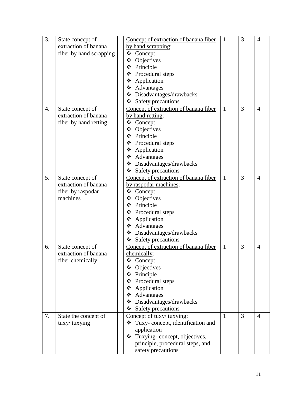| 3.               | State concept of        | Concept of extraction of banana fiber | 1            | 3 | $\overline{4}$ |
|------------------|-------------------------|---------------------------------------|--------------|---|----------------|
|                  | extraction of banana    | by hand scrapping:                    |              |   |                |
|                  | fiber by hand scrapping | ❖ Concept                             |              |   |                |
|                  |                         | ❖<br>Objectives                       |              |   |                |
|                  |                         | ❖ Principle                           |              |   |                |
|                  |                         | ❖ Procedural steps                    |              |   |                |
|                  |                         | ❖ Application                         |              |   |                |
|                  |                         | ❖ Advantages                          |              |   |                |
|                  |                         | ❖ Disadvantages/drawbacks             |              |   |                |
|                  |                         | $\div$ Safety precautions             |              |   |                |
| $\overline{4}$ . | State concept of        | Concept of extraction of banana fiber | $\mathbf{1}$ | 3 | 4              |
|                  | extraction of banana    | by hand retting:                      |              |   |                |
|                  | fiber by hand retting   | ❖<br>Concept                          |              |   |                |
|                  |                         | Objectives<br>❖                       |              |   |                |
|                  |                         | ❖ Principle                           |              |   |                |
|                  |                         | ❖ Procedural steps                    |              |   |                |
|                  |                         | Application<br>❖                      |              |   |                |
|                  |                         | ❖ Advantages                          |              |   |                |
|                  |                         | ❖ Disadvantages/drawbacks             |              |   |                |
|                  |                         | $\div$ Safety precautions             |              |   |                |
| 5.               | State concept of        | Concept of extraction of banana fiber | $\mathbf{1}$ | 3 | 4              |
|                  | extraction of banana    | by raspodar machines:                 |              |   |                |
|                  | fiber by raspodar       | ❖<br>Concept                          |              |   |                |
|                  | machines                | Objectives<br>❖                       |              |   |                |
|                  |                         | ❖ Principle                           |              |   |                |
|                  |                         | ❖ Procedural steps                    |              |   |                |
|                  |                         | ❖ Application                         |              |   |                |
|                  |                         | ❖ Advantages                          |              |   |                |
|                  |                         | ❖ Disadvantages/drawbacks             |              |   |                |
|                  |                         | ❖ Safety precautions                  |              |   |                |
| 6.               | State concept of        | Concept of extraction of banana fiber | $\mathbf{1}$ | 3 | 4              |
|                  | extraction of banana    | chemically:                           |              |   |                |
|                  | fiber chemically        | Concept                               |              |   |                |
|                  |                         | Objectives                            |              |   |                |
|                  |                         | ❖ Principle                           |              |   |                |
|                  |                         | Procedural steps<br>❖                 |              |   |                |
|                  |                         | Application<br>❖                      |              |   |                |
|                  |                         | ❖ Advantages                          |              |   |                |
|                  |                         | ❖ Disadvantages/drawbacks             |              |   |                |
|                  |                         | ❖<br>Safety precautions               |              |   |                |
| 7.               | State the concept of    | Concept of tuxy/ tuxying:             | $\mathbf{1}$ | 3 | 4              |
|                  | tuxy/ tuxying           | Tuxy-concept, identification and<br>❖ |              |   |                |
|                  |                         | application                           |              |   |                |
|                  |                         | Tuxying-concept, objectives,<br>❖     |              |   |                |
|                  |                         | principle, procedural steps, and      |              |   |                |
|                  |                         | safety precautions                    |              |   |                |
|                  |                         |                                       |              |   |                |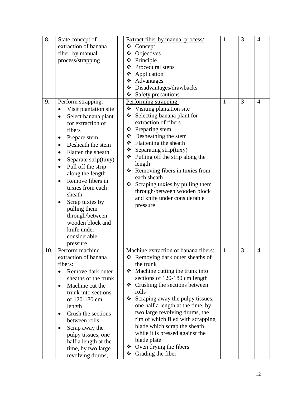| 8.  | State concept of<br>extraction of banana<br>fiber by manual<br>process/strapping                                                                                                                                                                                                                                                                                                                                                                                            | Extract fiber by manual process/:<br>❖ Concept<br>❖<br>Objectives<br>❖ Principle<br>❖ Procedural steps<br>❖ Application<br>❖ Advantages<br>❖ Disadvantages/drawbacks<br>$\div$ Safety precautions                                                                                                                                                                                                                                                                                                                   | 1            | 3 | $\overline{4}$ |
|-----|-----------------------------------------------------------------------------------------------------------------------------------------------------------------------------------------------------------------------------------------------------------------------------------------------------------------------------------------------------------------------------------------------------------------------------------------------------------------------------|---------------------------------------------------------------------------------------------------------------------------------------------------------------------------------------------------------------------------------------------------------------------------------------------------------------------------------------------------------------------------------------------------------------------------------------------------------------------------------------------------------------------|--------------|---|----------------|
| 9.  | Perform strapping:<br>Visit plantation site<br>$\bullet$<br>Select banana plant<br>for extraction of<br>fibers<br>Prepare stem<br>٠<br>Desheath the stem<br>$\bullet$<br>Flatten the sheath<br>Separate strip(tuxy)<br>$\bullet$<br>Pull off the strip<br>$\bullet$<br>along the length<br>Remove fibers in<br>$\bullet$<br>tuxies from each<br>sheath<br>Scrap tuxies by<br>pulling them<br>through/between<br>wooden block and<br>knife under<br>considerable<br>pressure | Performing strapping:<br>❖ Visiting plantation site<br>Selecting banana plant for<br>❖<br>extraction of fibers<br>❖ Preparing stem<br>$\triangle$ Desheathing the stem<br>❖ Flattening the sheath<br>$\triangleleft$ Separating strip(tuxy)<br>$\triangleleft$ Pulling off the strip along the<br>length<br>* Removing fibers in tuxies from<br>each sheath<br>❖<br>Scraping tuxies by pulling them<br>through/between wooden block<br>and knife under considerable<br>pressure                                     | $\mathbf{1}$ | 3 | 4              |
| 10. | Perform machine<br>extraction of banana<br>fibers:<br>Remove dark outer<br>sheaths of the trunk<br>Machine cut the<br>$\bullet$<br>trunk into sections<br>of 120-180 cm<br>length<br>Crush the sections<br>between rolls<br>Scrap away the<br>pulpy tissues, one<br>half a length at the<br>time, by two large<br>revolving drums,                                                                                                                                          | Machine extraction of banana fibers:<br>$\triangle$ Removing dark outer sheaths of<br>the trunk<br>Machine cutting the trunk into<br>❖<br>sections of 120-180 cm length<br>Crushing the sections between<br>❖<br>rolls<br>❖<br>Scraping away the pulpy tissues,<br>one half a length at the time, by<br>two large revolving drums, the<br>rim of which filed with scrapping<br>blade which scrap the sheath<br>while it is pressed against the<br>blade plate<br>❖ Oven drying the fibers<br>Grading the fiber<br>❖ | $\mathbf{1}$ | 3 | 4              |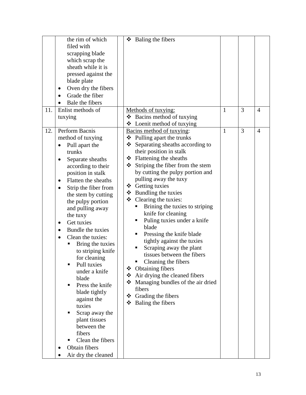|     | the rim of which                 | Baling the fibers<br>❖                   |              |                |                |
|-----|----------------------------------|------------------------------------------|--------------|----------------|----------------|
|     | filed with                       |                                          |              |                |                |
|     | scrapping blade                  |                                          |              |                |                |
|     | which scrap the                  |                                          |              |                |                |
|     | sheath while it is               |                                          |              |                |                |
|     | pressed against the              |                                          |              |                |                |
|     | blade plate                      |                                          |              |                |                |
|     | Oven dry the fibers<br>$\bullet$ |                                          |              |                |                |
|     | Grade the fiber                  |                                          |              |                |                |
|     | Bale the fibers                  |                                          |              |                |                |
| 11. | Enlist methods of                | Methods of tuxying:                      | $\mathbf{1}$ | 3              | $\overline{4}$ |
|     |                                  | $\triangleleft$ Bacins method of tuxying |              |                |                |
|     | tuxying                          |                                          |              |                |                |
|     | Perform Bacnis                   | $\triangleleft$ Loenit method of tuxying | $\mathbf{1}$ | $\overline{3}$ |                |
| 12. |                                  | Bacins method of tuxying:                |              |                | $\overline{4}$ |
|     | method of tuxying                | ❖ Pulling apart the trunks               |              |                |                |
|     | Pull apart the                   | Separating sheaths according to<br>❖     |              |                |                |
|     | trunks                           | their position in stalk                  |              |                |                |
|     | Separate sheaths<br>$\bullet$    | $\div$ Flattening the sheaths            |              |                |                |
|     | according to their               | Striping the fiber from the stem<br>❖    |              |                |                |
|     | position in stalk                | by cutting the pulpy portion and         |              |                |                |
|     | Flatten the sheaths<br>$\bullet$ | pulling away the tuxy                    |              |                |                |
|     | Strip the fiber from<br>٠        | ❖ Getting tuxies                         |              |                |                |
|     | the stem by cutting              | $\div$ Bundling the tuxies               |              |                |                |
|     | the pulpy portion                | $\div$ Clearing the tuxies:              |              |                |                |
|     | and pulling away                 | Brining the tuxies to striping           |              |                |                |
|     | the tuxy                         | knife for cleaning                       |              |                |                |
|     | Get tuxies<br>$\bullet$          | Puling tuxies under a knife              |              |                |                |
|     | Bundle the tuxies<br>$\bullet$   | blade                                    |              |                |                |
|     | Clean the tuxies:<br>$\bullet$   | Pressing the knife blade<br>п            |              |                |                |
|     | Bring the tuxies                 | tightly against the tuxies               |              |                |                |
|     | to striping knife                | Scraping away the plant                  |              |                |                |
|     | for cleaning                     | tissues between the fibers               |              |                |                |
|     | Pull tuxies                      | Cleaning the fibers                      |              |                |                |
|     | under a knife                    | <b>Obtaining fibers</b><br>❖             |              |                |                |
|     | blade                            | Air drying the cleaned fibers<br>❖       |              |                |                |
|     | Press the knife<br>п             | ❖<br>Managing bundles of the air dried   |              |                |                |
|     |                                  | fibers                                   |              |                |                |
|     | blade tightly                    | $\div$ Grading the fibers                |              |                |                |
|     | against the<br>tuxies            | ❖<br>Baling the fibers                   |              |                |                |
|     |                                  |                                          |              |                |                |
|     | Scrap away the                   |                                          |              |                |                |
|     | plant tissues                    |                                          |              |                |                |
|     | between the                      |                                          |              |                |                |
|     | fibers                           |                                          |              |                |                |
|     | Clean the fibers<br>п            |                                          |              |                |                |
|     | Obtain fibers                    |                                          |              |                |                |
|     | Air dry the cleaned              |                                          |              |                |                |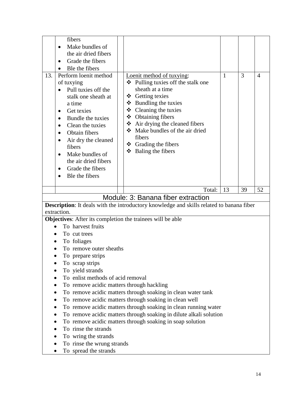<span id="page-14-0"></span>

|             | fibers                                    |                                                                                          |              |    |                |
|-------------|-------------------------------------------|------------------------------------------------------------------------------------------|--------------|----|----------------|
|             | Make bundles of                           |                                                                                          |              |    |                |
|             | the air dried fibers                      |                                                                                          |              |    |                |
|             | Grade the fibers                          |                                                                                          |              |    |                |
|             | Ble the fibers                            |                                                                                          |              |    |                |
| 13.         | Perform loenit method                     | Loenit method of tuxying:                                                                | $\mathbf{1}$ | 3  | $\overline{4}$ |
|             | of tuxying                                | ❖ Pulling tuxies off the stalk one                                                       |              |    |                |
|             | Pull tuxies off the                       | sheath at a time                                                                         |              |    |                |
|             | stalk one sheath at                       | ❖ Getting texies                                                                         |              |    |                |
|             | a time                                    | $\div$ Bundling the tuxies                                                               |              |    |                |
| $\bullet$   | Get texies                                | ❖ Cleaning the tuxies                                                                    |              |    |                |
|             | Bundle the tuxies                         | $\triangleleft$ Obtaining fibers                                                         |              |    |                |
|             | Clean the tuxies                          | ❖ Air drying the cleaned fibers                                                          |              |    |                |
|             | Obtain fibers                             | Make bundles of the air dried                                                            |              |    |                |
|             | Air dry the cleaned                       | fibers                                                                                   |              |    |                |
|             | fibers                                    | ❖ Grading the fibers                                                                     |              |    |                |
|             | Make bundles of                           | $\div$ Baling the fibers                                                                 |              |    |                |
|             | the air dried fibers                      |                                                                                          |              |    |                |
| $\bullet$   | Grade the fibers                          |                                                                                          |              |    |                |
|             | Ble the fibers                            |                                                                                          |              |    |                |
|             |                                           |                                                                                          |              |    |                |
|             |                                           | Total:                                                                                   | 13           | 39 | 52             |
|             |                                           | Module: 3: Banana fiber extraction                                                       |              |    |                |
|             |                                           | Description: It deals with the introductory knowledge and skills related to banana fiber |              |    |                |
|             |                                           |                                                                                          |              |    |                |
| extraction. |                                           |                                                                                          |              |    |                |
|             |                                           | Objectives: After its completion the trainees will be able                               |              |    |                |
|             | To harvest fruits                         |                                                                                          |              |    |                |
|             | To cut trees                              |                                                                                          |              |    |                |
|             | To foliages                               |                                                                                          |              |    |                |
|             | To remove outer sheaths                   |                                                                                          |              |    |                |
|             | To prepare strips                         |                                                                                          |              |    |                |
|             | To scrap strips                           |                                                                                          |              |    |                |
|             | To yield strands                          |                                                                                          |              |    |                |
|             | To enlist methods of acid removal         |                                                                                          |              |    |                |
|             | To remove acidic matters through hackling |                                                                                          |              |    |                |
|             |                                           | To remove acidic matters through soaking in clean water tank                             |              |    |                |
|             |                                           | To remove acidic matters through soaking in clean well                                   |              |    |                |
|             |                                           | To remove acidic matters through soaking in clean running water                          |              |    |                |
|             |                                           | To remove acidic matters through soaking in dilute alkali solution                       |              |    |                |
|             |                                           | To remove acidic matters through soaking in soap solution                                |              |    |                |
|             | To rinse the strands                      |                                                                                          |              |    |                |
|             | To wring the strands                      |                                                                                          |              |    |                |
|             | To rinse the wrung strands                |                                                                                          |              |    |                |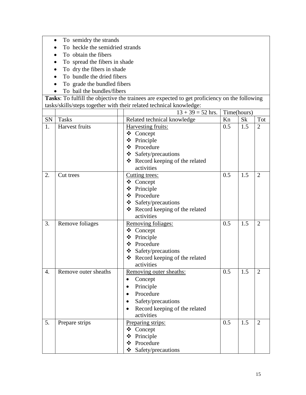- To semidry the strands
- To heckle the semidried strands
- To obtain the fibers
- To spread the fibers in shade
- To dry the fibers in shade
- To bundle the dried fibers
- To grade the bundled fibers
- To bail the bundles/fibers

|                  |                      | $13 + 39 = 52$ hrs.                |     | Time(hours) |                |
|------------------|----------------------|------------------------------------|-----|-------------|----------------|
| SN               | <b>Tasks</b>         | Related technical knowledge        | Kn  | <b>Sk</b>   | Tot            |
| 1.               | Harvest fruits       | Harvesting fruits:                 | 0.5 | 1.5         | $\overline{2}$ |
|                  |                      | ❖ Concept                          |     |             |                |
|                  |                      | ❖ Principle                        |     |             |                |
|                  |                      | ❖ Procedure                        |     |             |                |
|                  |                      | ❖ Safety/precautions               |     |             |                |
|                  |                      | ❖ Record keeping of the related    |     |             |                |
|                  |                      | activities                         |     |             |                |
| 2.               | Cut trees            | Cutting trees:                     | 0.5 | 1.5         | $\overline{2}$ |
|                  |                      | ❖ Concept                          |     |             |                |
|                  |                      | ❖ Principle                        |     |             |                |
|                  |                      | ❖ Procedure                        |     |             |                |
|                  |                      | $\bullet$ Safety/precautions       |     |             |                |
|                  |                      | ❖ Record keeping of the related    |     |             |                |
|                  |                      | activities                         |     |             |                |
| 3.               | Remove foliages      | Removing foliages:                 | 0.5 | 1.5         | $\overline{2}$ |
|                  |                      | ❖ Concept                          |     |             |                |
|                  |                      | ❖ Principle                        |     |             |                |
|                  |                      | ❖ Procedure                        |     |             |                |
|                  |                      | ❖ Safety/precautions               |     |             |                |
|                  |                      | ❖ Record keeping of the related    |     |             |                |
|                  |                      | activities                         |     |             |                |
| $\overline{4}$ . | Remove outer sheaths | Removing outer sheaths:            | 0.5 | 1.5         | $\overline{2}$ |
|                  |                      | Concept<br>$\bullet$               |     |             |                |
|                  |                      | Principle                          |     |             |                |
|                  |                      | Procedure                          |     |             |                |
|                  |                      | Safety/precautions                 |     |             |                |
|                  |                      | Record keeping of the related      |     |             |                |
|                  |                      | activities                         |     |             |                |
| 5.               | Prepare strips       | Preparing strips:                  | 0.5 | 1.5         | $\overline{2}$ |
|                  |                      | ❖ Concept                          |     |             |                |
|                  |                      | ❖ Principle                        |     |             |                |
|                  |                      | ❖ Procedure                        |     |             |                |
|                  |                      | $\triangleleft$ Safety/precautions |     |             |                |
|                  |                      |                                    |     |             |                |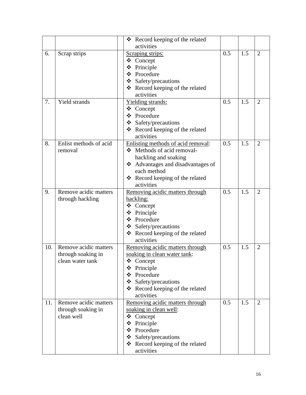|     |                        | Record keeping of the related<br>❖   |     |     |                |
|-----|------------------------|--------------------------------------|-----|-----|----------------|
|     |                        | activities                           |     |     |                |
| 6.  | Scrap strips           | Scraping strips:                     | 0.5 | 1.5 | $\overline{2}$ |
|     |                        | ❖ Concept                            |     |     |                |
|     |                        | Principle<br>❖                       |     |     |                |
|     |                        | ❖ Procedure                          |     |     |                |
|     |                        | $\div$ Safety/precautions            |     |     |                |
|     |                        | ❖ Record keeping of the related      |     |     |                |
|     |                        | activities                           |     |     |                |
| 7.  | <b>Yield strands</b>   | Yielding strands:                    | 0.5 | 1.5 | $\overline{2}$ |
|     |                        | ❖ Concept                            |     |     |                |
|     |                        | ❖ Procedure                          |     |     |                |
|     |                        | $\triangleleft$ Safety/precautions   |     |     |                |
|     |                        | * Record keeping of the related      |     |     |                |
|     |                        | activities                           |     |     |                |
| 8.  | Enlist methods of acid | Enlisting methods of acid removal:   | 0.5 | 1.5 | $\overline{2}$ |
|     | removal                | ❖ Methods of acid removal-           |     |     |                |
|     |                        | hackling and soaking                 |     |     |                |
|     |                        | Advantages and disadvantages of<br>❖ |     |     |                |
|     |                        | each method                          |     |     |                |
|     |                        | ❖ Record keeping of the related      |     |     |                |
|     |                        | activities                           |     |     |                |
| 9.  | Remove acidic matters  | Removing acidic matters through      | 0.5 | 1.5 | 2              |
|     | through hackling       | hackling:                            |     |     |                |
|     |                        | ❖ Concept                            |     |     |                |
|     |                        | Principle                            |     |     |                |
|     |                        | ❖ Procedure                          |     |     |                |
|     |                        | ❖ Safety/precautions                 |     |     |                |
|     |                        | ❖ Record keeping of the related      |     |     |                |
|     |                        | activities                           |     |     |                |
| 10. | Remove acidic matters  | Removing acidic matters through      | 0.5 | 1.5 | $\overline{2}$ |
|     | through soaking in     | soaking in clean water tank:         |     |     |                |
|     | clean water tank       | ❖ Concept                            |     |     |                |
|     |                        | Principle                            |     |     |                |
|     |                        | Procedure<br>❖                       |     |     |                |
|     |                        | Safety/precautions                   |     |     |                |
|     |                        | Record keeping of the related<br>❖   |     |     |                |
|     |                        | activities                           |     |     |                |
| 11. | Remove acidic matters  | Removing acidic matters through      | 0.5 | 1.5 | 2              |
|     | through soaking in     | soaking in clean well:               |     |     |                |
|     | clean well             | ❖ Concept                            |     |     |                |
|     |                        | ❖<br>Principle                       |     |     |                |
|     |                        | Procedure<br>❖                       |     |     |                |
|     |                        | ❖ Safety/precautions                 |     |     |                |
|     |                        | ❖ Record keeping of the related      |     |     |                |
|     |                        | activities                           |     |     |                |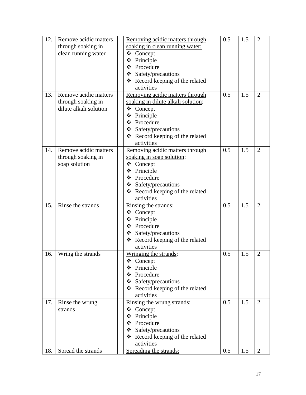| 12. | Remove acidic matters  | Removing acidic matters through    | 0.5 | 1.5 | $\overline{2}$ |
|-----|------------------------|------------------------------------|-----|-----|----------------|
|     | through soaking in     | soaking in clean running water:    |     |     |                |
|     | clean running water    | ❖<br>Concept                       |     |     |                |
|     |                        | ❖<br>Principle                     |     |     |                |
|     |                        | ❖ Procedure                        |     |     |                |
|     |                        | $\div$ Safety/precautions          |     |     |                |
|     |                        | ❖ Record keeping of the related    |     |     |                |
|     |                        | activities                         |     |     |                |
| 13. | Remove acidic matters  | Removing acidic matters through    | 0.5 | 1.5 | $\overline{2}$ |
|     | through soaking in     | soaking in dilute alkali solution: |     |     |                |
|     | dilute alkali solution | ❖<br>Concept                       |     |     |                |
|     |                        | ❖<br>Principle                     |     |     |                |
|     |                        | Procedure<br>$\cdot$               |     |     |                |
|     |                        | $\div$ Safety/precautions          |     |     |                |
|     |                        | ❖ Record keeping of the related    |     |     |                |
|     |                        | activities                         |     |     |                |
| 14. | Remove acidic matters  | Removing acidic matters through    | 0.5 | 1.5 | $\overline{2}$ |
|     | through soaking in     | soaking in soap solution:          |     |     |                |
|     | soap solution          | ❖ Concept                          |     |     |                |
|     |                        | ❖<br>Principle                     |     |     |                |
|     |                        | ❖ Procedure                        |     |     |                |
|     |                        | ❖ Safety/precautions               |     |     |                |
|     |                        | ❖ Record keeping of the related    |     |     |                |
|     |                        | activities                         |     |     |                |
| 15. | Rinse the strands      | Rinsing the strands:               | 0.5 | 1.5 | $\overline{2}$ |
|     |                        | Concept<br>❖                       |     |     |                |
|     |                        | ❖<br>Principle                     |     |     |                |
|     |                        | ❖ Procedure                        |     |     |                |
|     |                        | $\div$ Safety/precautions          |     |     |                |
|     |                        | * Record keeping of the related    |     |     |                |
|     |                        | activities                         |     |     |                |
| 16. | Wring the strands      | Wringing the strands:              | 0.5 | 1.5 | $\overline{2}$ |
|     |                        | ❖<br>Concept                       |     |     |                |
|     |                        | Principle                          |     |     |                |
|     |                        | ❖ Procedure                        |     |     |                |
|     |                        | Safety/precautions                 |     |     |                |
|     |                        | ❖ Record keeping of the related    |     |     |                |
|     |                        | activities                         |     |     |                |
| 17. | Rinse the wrung        | Rinsing the wrung strands:         | 0.5 | 1.5 | $\overline{2}$ |
|     | strands                | $\triangle$ Concept                |     |     |                |
|     |                        | ❖ Principle                        |     |     |                |
|     |                        | Procedure<br>❖                     |     |     |                |
|     |                        | $\div$ Safety/precautions          |     |     |                |
|     |                        | Record keeping of the related<br>❖ |     |     |                |
|     |                        | activities                         |     |     |                |
| 18. | Spread the strands     | Spreading the strands:             | 0.5 | 1.5 | $\overline{2}$ |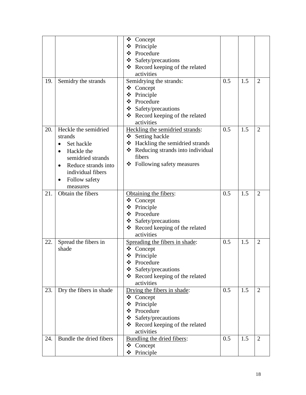|     |                                  | ❖<br>Concept                       |     |     |                |
|-----|----------------------------------|------------------------------------|-----|-----|----------------|
|     |                                  | ❖ Principle                        |     |     |                |
|     |                                  | ❖ Procedure                        |     |     |                |
|     |                                  | $\div$ Safety/precautions          |     |     |                |
|     |                                  | ❖ Record keeping of the related    |     |     |                |
|     |                                  | activities                         |     |     |                |
| 19. | Semidry the strands              | Semidrying the strands:            | 0.5 | 1.5 | $\overline{2}$ |
|     |                                  | ❖ Concept                          |     |     |                |
|     |                                  | ❖ Principle                        |     |     |                |
|     |                                  | ❖ Procedure                        |     |     |                |
|     |                                  | $\div$ Safety/precautions          |     |     |                |
|     |                                  | ❖ Record keeping of the related    |     |     |                |
|     |                                  | activities                         |     |     |                |
| 20. | Heckle the semidried             | Heckling the semidried strands:    | 0.5 | 1.5 | $\overline{2}$ |
|     | strands                          | ❖ Setting hackle                   |     |     |                |
|     | Set hackle                       | ❖ Hackling the semidried strands   |     |     |                |
|     | Hackle the<br>$\bullet$          | * Reducing strands into individual |     |     |                |
|     | semidried strands                | fibers                             |     |     |                |
|     | Reduce strands into<br>$\bullet$ | ❖ Following safety measures        |     |     |                |
|     | individual fibers                |                                    |     |     |                |
|     | Follow safety                    |                                    |     |     |                |
|     | measures                         |                                    |     |     |                |
| 21. | Obtain the fibers                | Obtaining the fibers:              | 0.5 | 1.5 | $\overline{2}$ |
|     |                                  | ❖ Concept                          |     |     |                |
|     |                                  | ❖ Principle                        |     |     |                |
|     |                                  | ❖ Procedure                        |     |     |                |
|     |                                  | ❖ Safety/precautions               |     |     |                |
|     |                                  | ❖ Record keeping of the related    |     |     |                |
|     |                                  | activities                         |     |     |                |
| 22. | Spread the fibers in             | Spreading the fibers in shade:     | 0.5 | 1.5 | $\overline{2}$ |
|     | shade                            | Concept<br>❖                       |     |     |                |
|     |                                  | ❖<br>Principle                     |     |     |                |
|     |                                  | Procedure<br>❖                     |     |     |                |
|     |                                  | Safety/precautions                 |     |     |                |
|     |                                  | ❖ Record keeping of the related    |     |     |                |
|     |                                  | activities                         |     |     |                |
| 23. | Dry the fibers in shade          | Drying the fibers in shade:        | 0.5 | 1.5 | $\overline{2}$ |
|     |                                  | Concept<br>❖                       |     |     |                |
|     |                                  | Principle<br>❖                     |     |     |                |
|     |                                  | Procedure<br>❖                     |     |     |                |
|     |                                  | Safety/precautions                 |     |     |                |
|     |                                  | ❖ Record keeping of the related    |     |     |                |
|     |                                  | activities                         |     |     |                |
| 24. | Bundle the dried fibers          | Bundling the dried fibers:         | 0.5 | 1.5 | $\overline{2}$ |
|     |                                  | $\triangle$ Concept                |     |     |                |
|     |                                  | ❖ Principle                        |     |     |                |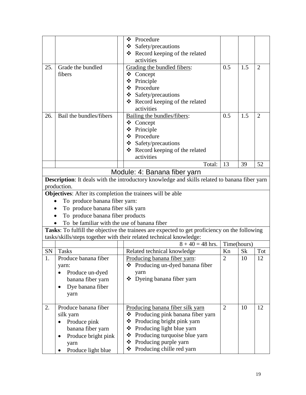<span id="page-19-0"></span>

|     |                                                            | Procedure<br>❖                                                                                |                |             |                |
|-----|------------------------------------------------------------|-----------------------------------------------------------------------------------------------|----------------|-------------|----------------|
|     |                                                            | $\div$ Safety/precautions                                                                     |                |             |                |
|     |                                                            | ❖ Record keeping of the related                                                               |                |             |                |
|     |                                                            | activities                                                                                    |                |             |                |
| 25. | Grade the bundled                                          | Grading the bundled fibers:                                                                   | 0.5            | 1.5         | $\overline{2}$ |
|     | fibers                                                     | ❖ Concept                                                                                     |                |             |                |
|     |                                                            | ❖<br>Principle                                                                                |                |             |                |
|     |                                                            | Procedure                                                                                     |                |             |                |
|     |                                                            | ❖ Safety/precautions                                                                          |                |             |                |
|     |                                                            | ❖ Record keeping of the related                                                               |                |             |                |
|     |                                                            | activities                                                                                    |                |             |                |
| 26. | Bail the bundles/fibers                                    | Bailing the bundles/fibers:                                                                   | 0.5            | 1.5         | $\overline{2}$ |
|     |                                                            | ❖ Concept                                                                                     |                |             |                |
|     |                                                            | Principle                                                                                     |                |             |                |
|     |                                                            | ❖ Procedure                                                                                   |                |             |                |
|     |                                                            | $\div$ Safety/precautions                                                                     |                |             |                |
|     |                                                            | ❖ Record keeping of the related                                                               |                |             |                |
|     |                                                            | activities                                                                                    |                |             |                |
|     |                                                            | Total:                                                                                        | 13             | 39          | 52             |
|     |                                                            | Module: 4: Banana fiber yarn                                                                  |                |             |                |
|     |                                                            | Description: It deals with the introductory knowledge and skills related to banana fiber yarn |                |             |                |
|     | production.                                                |                                                                                               |                |             |                |
|     | Objectives: After its completion the trainees will be able |                                                                                               |                |             |                |
|     | To produce banana fiber yarn:                              |                                                                                               |                |             |                |
|     | To produce banana fiber silk yarn                          |                                                                                               |                |             |                |
|     | To produce banana fiber products                           |                                                                                               |                |             |                |
|     | To be familiar with the use of banana fiber                |                                                                                               |                |             |                |
|     |                                                            | Tasks: To fulfill the objective the trainees are expected to get proficiency on the following |                |             |                |
|     |                                                            | tasks/skills/steps together with their related technical knowledge:                           |                |             |                |
|     |                                                            | $8 + 40 = 48$ hrs.                                                                            |                | Time(hours) |                |
| SN  | <b>Tasks</b>                                               | Related technical knowledge                                                                   | Kn             | <b>Sk</b>   | Tot            |
|     | Produce banana fiber                                       | Producing banana fiber yarn:                                                                  | $\overline{2}$ | 10          | 12             |
|     | yarn:                                                      | ❖ Producing un-dyed banana fiber                                                              |                |             |                |
|     | Produce un-dyed                                            | yarn                                                                                          |                |             |                |
|     | banana fiber yarn                                          | Dyeing banana fiber yarn<br>❖                                                                 |                |             |                |
|     | Dye banana fiber                                           |                                                                                               |                |             |                |
|     | yarn                                                       |                                                                                               |                |             |                |
|     |                                                            |                                                                                               |                |             |                |
| 2.  | Produce banana fiber                                       | Producing banana fiber silk yarn                                                              | $\overline{2}$ | 10          | 12             |
|     | silk yarn                                                  | Producing pink banana fiber yarn<br>❖                                                         |                |             |                |
|     | Produce pink                                               | Producing bright pink yarn<br>❖                                                               |                |             |                |
|     | banana fiber yarn                                          | ❖ Producing light blue yarn                                                                   |                |             |                |
|     | Produce bright pink<br>$\bullet$                           | Producing turquoise blue yarn<br>❖                                                            |                |             |                |
|     | yarn                                                       | ❖ Producing purple yarn                                                                       |                |             |                |
|     | Produce light blue                                         | ❖ Producing chille red yarn                                                                   |                |             |                |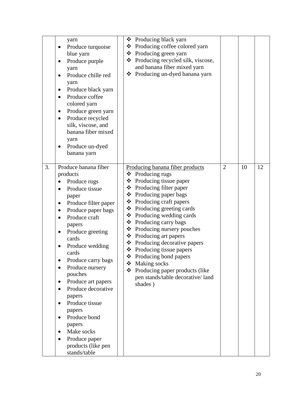| yarn<br>Produce turquoise<br>blue yarn<br>Produce purple<br>yarn<br>Produce chille red<br>yarn<br>Produce black yarn<br>Produce coffee<br>$\bullet$<br>colored yarn<br>Produce green yarn<br>٠<br>Produce recycled<br>٠<br>silk, viscose, and<br>banana fiber mixed<br>yarn<br>Produce un-dyed<br>banana yarn                                                                                                                                                                           | Producing black yarn<br>❖<br>Producing coffee colored yarn<br>❖<br>Producing green yarn<br>❖<br>Producing recycled silk, viscose,<br>❖<br>and banana fiber mixed yarn<br>Producing un-dyed banana yarn<br>❖                                                                                                                                                                                                                                                                                                                                                         |                |    |    |
|-----------------------------------------------------------------------------------------------------------------------------------------------------------------------------------------------------------------------------------------------------------------------------------------------------------------------------------------------------------------------------------------------------------------------------------------------------------------------------------------|---------------------------------------------------------------------------------------------------------------------------------------------------------------------------------------------------------------------------------------------------------------------------------------------------------------------------------------------------------------------------------------------------------------------------------------------------------------------------------------------------------------------------------------------------------------------|----------------|----|----|
| 3.<br>Produce banana fiber<br>products<br>Produce rugs<br>Produce tissue<br>paper<br>Produce filter paper<br>$\bullet$<br>Produce paper bags<br>٠<br>Produce craft<br>papers<br>Produce greeting<br>cards<br>Produce wedding<br>cards<br>Produce carry bags<br>Produce nursery<br>pouches<br>Produce art papers<br>$\bullet$<br>Produce decorative<br>papers<br>Produce tissue<br>papers<br>Produce bond<br>papers<br>Make socks<br>Produce paper<br>products (like pen<br>stands/table | Producing banana fiber products<br>$\triangle$ Producing rugs<br>Producing tissue paper<br>❖<br>Producing filter paper<br>❖<br>Producing paper bags<br>❖<br>❖ Producing craft papers<br>❖ Producing greeting cards<br>❖<br>Producing wedding cards<br>❖<br>Producing carry bags<br>$\triangle$ Producing nursery pouches<br>❖<br>Producing art papers<br>❖<br>Producing decorative papers<br>❖<br>Producing tissue papers<br>❖<br>Producing bond papers<br>❖<br>Making socks<br>Producing paper products (like<br>❖<br>pen stands/table decorative/ land<br>shades) | $\overline{2}$ | 10 | 12 |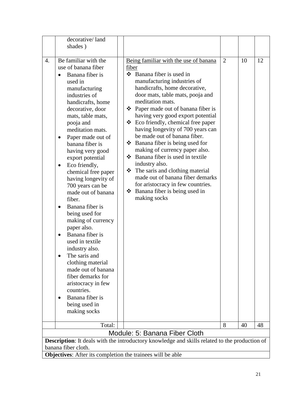<span id="page-21-0"></span>

|                                                            | decorative/land<br>shades)                                                                                                                                                                                                                                                                                                                                                                                                                                                                                                                                                                                                                                                                                                                                                |                                                                                                                                                                                                                                                                                                                                                                                                                                                                                                                                                                                                                                                                                                                            |                     |          |          |
|------------------------------------------------------------|---------------------------------------------------------------------------------------------------------------------------------------------------------------------------------------------------------------------------------------------------------------------------------------------------------------------------------------------------------------------------------------------------------------------------------------------------------------------------------------------------------------------------------------------------------------------------------------------------------------------------------------------------------------------------------------------------------------------------------------------------------------------------|----------------------------------------------------------------------------------------------------------------------------------------------------------------------------------------------------------------------------------------------------------------------------------------------------------------------------------------------------------------------------------------------------------------------------------------------------------------------------------------------------------------------------------------------------------------------------------------------------------------------------------------------------------------------------------------------------------------------------|---------------------|----------|----------|
|                                                            |                                                                                                                                                                                                                                                                                                                                                                                                                                                                                                                                                                                                                                                                                                                                                                           |                                                                                                                                                                                                                                                                                                                                                                                                                                                                                                                                                                                                                                                                                                                            |                     |          |          |
| $\overline{4}$ .                                           | Be familiar with the<br>use of banana fiber<br>Banana fiber is<br>$\bullet$<br>used in<br>manufacturing<br>industries of<br>handicrafts, home<br>decorative, door<br>mats, table mats,<br>pooja and<br>meditation mats.<br>Paper made out of<br>banana fiber is<br>having very good<br>export potential<br>Eco friendly,<br>$\bullet$<br>chemical free paper<br>having longevity of<br>700 years can be<br>made out of banana<br>fiber.<br>Banana fiber is<br>$\bullet$<br>being used for<br>making of currency<br>paper also.<br>Banana fiber is<br>used in textile<br>industry also.<br>The saris and<br>clothing material<br>made out of banana<br>fiber demarks for<br>aristocracy in few<br>countries.<br>Banana fiber is<br>being used in<br>making socks<br>Total: | Being familiar with the use of banana<br>fiber<br>$\div$ Banana fiber is used in<br>manufacturing industries of<br>handicrafts, home decorative,<br>door mats, table mats, pooja and<br>meditation mats.<br>$\bullet$ Paper made out of banana fiber is<br>having very good export potential<br>❖<br>Eco friendly, chemical free paper<br>having longevity of 700 years can<br>be made out of banana fiber.<br>$\triangleleft$ Banana fiber is being used for<br>making of currency paper also.<br>❖ Banana fiber is used in textile<br>industry also.<br>The saris and clothing material<br>❖<br>made out of banana fiber demarks<br>for aristocracy in few countries.<br>❖ Banana fiber is being used in<br>making socks | $\overline{2}$<br>8 | 10<br>40 | 12<br>48 |
|                                                            |                                                                                                                                                                                                                                                                                                                                                                                                                                                                                                                                                                                                                                                                                                                                                                           | Module: 5: Banana Fiber Cloth                                                                                                                                                                                                                                                                                                                                                                                                                                                                                                                                                                                                                                                                                              |                     |          |          |
|                                                            |                                                                                                                                                                                                                                                                                                                                                                                                                                                                                                                                                                                                                                                                                                                                                                           | Description: It deals with the introductory knowledge and skills related to the production of                                                                                                                                                                                                                                                                                                                                                                                                                                                                                                                                                                                                                              |                     |          |          |
|                                                            | banana fiber cloth.                                                                                                                                                                                                                                                                                                                                                                                                                                                                                                                                                                                                                                                                                                                                                       |                                                                                                                                                                                                                                                                                                                                                                                                                                                                                                                                                                                                                                                                                                                            |                     |          |          |
| Objectives: After its completion the trainees will be able |                                                                                                                                                                                                                                                                                                                                                                                                                                                                                                                                                                                                                                                                                                                                                                           |                                                                                                                                                                                                                                                                                                                                                                                                                                                                                                                                                                                                                                                                                                                            |                     |          |          |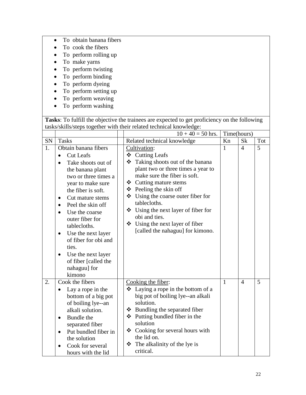- To obtain banana fibers
- To cook the fibers
- To perform rolling up
- To make yarns
- To perform twisting
- To perform binding
- To perform dyeing
- To perform setting up
- To perform weaving
- To perform washing

|    |                                                                                                                                                                                                                                                                                                                                                                                                                                        | $10 + 40 = 50$ hrs.                                                                                                                                                                                                                                                                                                                                                                                              |              | Time(hours)    |     |
|----|----------------------------------------------------------------------------------------------------------------------------------------------------------------------------------------------------------------------------------------------------------------------------------------------------------------------------------------------------------------------------------------------------------------------------------------|------------------------------------------------------------------------------------------------------------------------------------------------------------------------------------------------------------------------------------------------------------------------------------------------------------------------------------------------------------------------------------------------------------------|--------------|----------------|-----|
| SN | <b>Tasks</b>                                                                                                                                                                                                                                                                                                                                                                                                                           | Related technical knowledge                                                                                                                                                                                                                                                                                                                                                                                      | Kn           | <b>Sk</b>      | Tot |
| 1. | Obtain banana fibers<br><b>Cut Leafs</b><br>Take shoots out of<br>the banana plant<br>two or three times a<br>year to make sure<br>the fiber is soft.<br>Cut mature stems<br>$\bullet$<br>Peel the skin off<br>$\bullet$<br>Use the coarse<br>outer fiber for<br>tablecloths.<br>Use the next layer<br>$\bullet$<br>of fiber for obi and<br>ties.<br>Use the next layer<br>$\bullet$<br>of fiber [called the<br>nahaguu] for<br>kimono | Cultivation:<br>❖ Cutting Leafs<br>Taking shoots out of the banana<br>❖<br>plant two or three times a year to<br>make sure the fiber is soft.<br>❖ Cutting mature stems<br>$\triangle$ Peeling the skin off<br>❖ Using the coarse outer fiber for<br>tablecloths.<br>$\bullet$ Using the next layer of fiber for<br>obi and ties.<br>$\bullet$ Using the next layer of fiber<br>[called the nahaguu] for kimono. | $\mathbf{1}$ | $\overline{4}$ | 5   |
| 2. | Cook the fibers<br>Lay a rope in the<br>bottom of a big pot<br>of boiling lye--an<br>alkali solution.<br>Bundle the<br>$\bullet$<br>separated fiber<br>Put bundled fiber in<br>$\bullet$<br>the solution<br>Cook for several<br>hours with the lid                                                                                                                                                                                     | Cooking the fiber:<br>Laying a rope in the bottom of a<br>❖<br>big pot of boiling lye--an alkali<br>solution.<br>$\div$ Bundling the separated fiber<br>❖ Putting bundled fiber in the<br>solution<br>$\triangleleft$ Cooking for several hours with<br>the lid on.<br>The alkalinity of the lye is<br>❖<br>critical.                                                                                            | $\mathbf{1}$ | $\overline{4}$ | 5   |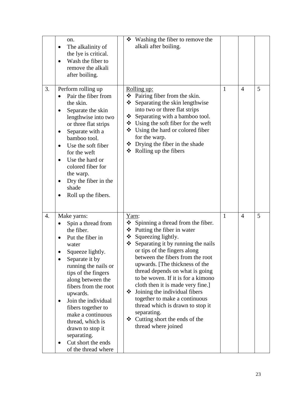|    | on.<br>The alkalinity of<br>the lye is critical.<br>Wash the fiber to<br>remove the alkali<br>after boiling.                                                                                                                                                                                                                                                                                     | ❖ Washing the fiber to remove the<br>alkali after boiling.                                                                                                                                                                                                                                                                                                                                                                                                                                                                                                                                         |   |                |   |
|----|--------------------------------------------------------------------------------------------------------------------------------------------------------------------------------------------------------------------------------------------------------------------------------------------------------------------------------------------------------------------------------------------------|----------------------------------------------------------------------------------------------------------------------------------------------------------------------------------------------------------------------------------------------------------------------------------------------------------------------------------------------------------------------------------------------------------------------------------------------------------------------------------------------------------------------------------------------------------------------------------------------------|---|----------------|---|
| 3. | Perform rolling up<br>Pair the fiber from<br>the skin.<br>Separate the skin<br>lengthwise into two<br>or three flat strips<br>Separate with a<br>٠<br>bamboo tool.<br>Use the soft fiber<br>for the weft<br>Use the hard or<br>colored fiber for<br>the warp.<br>Dry the fiber in the<br>٠<br>shade<br>Roll up the fibers.<br>٠                                                                  | Rolling up:<br>Pairing fiber from the skin.<br>❖<br>Separating the skin lengthwise<br>❖<br>into two or three flat strips<br>Separating with a bamboo tool.<br>$\div$ Using the soft fiber for the weft<br>$\bullet$ Using the hard or colored fiber<br>for the warp.<br>$\bullet$ Drying the fiber in the shade<br>$\triangleleft$ Rolling up the fibers                                                                                                                                                                                                                                           | 1 | $\overline{4}$ | 5 |
| 4. | Make yarns:<br>Spin a thread from<br>the fiber.<br>Put the fiber in<br>water<br>Squeeze lightly.<br>Separate it by<br>running the nails or<br>tips of the fingers<br>along between the<br>fibers from the root<br>upwards.<br>Join the individual<br>fibers together to<br>make a continuous<br>thread, which is<br>drawn to stop it<br>separating.<br>Cut short the ends<br>of the thread where | Yarn:<br>$\bullet$ Spinning a thread from the fiber.<br>❖ Putting the fiber in water<br>$\triangleleft$ Squeezing lightly.<br>$\div$ Separating it by running the nails<br>or tips of the fingers along<br>between the fibers from the root<br>upwards. [The thickness of the<br>thread depends on what is going<br>to be woven. If it is for a kimono<br>cloth then it is made very fine.]<br>$\bullet$ Joining the individual fibers<br>together to make a continuous<br>thread which is drawn to stop it<br>separating.<br>$\triangleleft$ Cutting short the ends of the<br>thread where joined | 1 | $\overline{4}$ | 5 |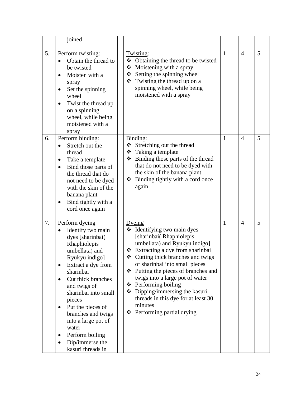|    | joined                                                                                                                                                                                                                                                                                                                                                       |                                                                                                                                                                                                                                                                                                                                                                                                                                                              |              |                |   |
|----|--------------------------------------------------------------------------------------------------------------------------------------------------------------------------------------------------------------------------------------------------------------------------------------------------------------------------------------------------------------|--------------------------------------------------------------------------------------------------------------------------------------------------------------------------------------------------------------------------------------------------------------------------------------------------------------------------------------------------------------------------------------------------------------------------------------------------------------|--------------|----------------|---|
| 5. | Perform twisting:<br>Obtain the thread to<br>be twisted<br>Moisten with a<br>spray<br>Set the spinning<br>wheel<br>Twist the thread up<br>on a spinning<br>wheel, while being<br>moistened with a<br>spray                                                                                                                                                   | Twisting:<br>Obtaining the thread to be twisted<br>❖<br>Moistening with a spray<br>❖<br>Setting the spinning wheel<br>$\div$ Twisting the thread up on a<br>spinning wheel, while being<br>moistened with a spray                                                                                                                                                                                                                                            | $\mathbf{1}$ | $\overline{4}$ | 5 |
| 6. | Perform binding:<br>Stretch out the<br>thread<br>Take a template<br>$\bullet$<br>Bind those parts of<br>$\bullet$<br>the thread that do<br>not need to be dyed<br>with the skin of the<br>banana plant<br>Bind tightly with a<br>cord once again                                                                                                             | Binding:<br>❖ Stretching out the thread<br>$\bullet$ Taking a template<br>❖ Binding those parts of the thread<br>that do not need to be dyed with<br>the skin of the banana plant<br>$\triangle$ Binding tightly with a cord once<br>again                                                                                                                                                                                                                   | $\mathbf{1}$ | $\overline{4}$ | 5 |
| 7. | Perform dyeing<br>Identify two main<br>dyes [sharinbai(<br>Rhaphiolepis<br>umbellata) and<br>Ryukyu indigo]<br>Extract a dye from<br>sharinbai<br>Cut thick branches<br>and twigs of<br>sharinbai into small<br>pieces<br>Put the pieces of<br>branches and twigs<br>into a large pot of<br>water<br>Perform boiling<br>Dip/immerse the<br>kasuri threads in | Dyeing<br>Identifying two main dyes<br>❖<br>[sharinbai(Rhaphiolepis<br>umbellata) and Ryukyu indigo]<br>❖ Extracting a dye from sharinbai<br>❖ Cutting thick branches and twigs<br>of sharinbai into small pieces<br>❖ Putting the pieces of branches and<br>twigs into a large pot of water<br>$\triangle$ Performing boiling<br>$\bullet$ Dipping/immersing the kasuri<br>threads in this dye for at least 30<br>minutes<br>Performing partial drying<br>❖ | $\mathbf{1}$ | $\overline{4}$ | 5 |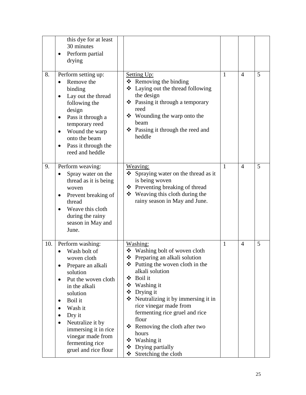|     | this dye for at least<br>30 minutes<br>Perform partial<br>drying                                                                                                                                                                                                                 |                                                                                                                                                                                                                                                                                                                                                                                                                                                           |              |                |   |
|-----|----------------------------------------------------------------------------------------------------------------------------------------------------------------------------------------------------------------------------------------------------------------------------------|-----------------------------------------------------------------------------------------------------------------------------------------------------------------------------------------------------------------------------------------------------------------------------------------------------------------------------------------------------------------------------------------------------------------------------------------------------------|--------------|----------------|---|
| 8.  | Perform setting up:<br>Remove the<br>binding<br>Lay out the thread<br>$\bullet$<br>following the<br>design<br>Pass it through a<br>٠<br>temporary reed<br>Wound the warp<br>$\bullet$<br>onto the beam<br>Pass it through the<br>reed and heddle                                 | <b>Setting Up:</b><br>$\triangleleft$ Removing the binding<br>❖ Laying out the thread following<br>the design<br>❖ Passing it through a temporary<br>reed<br>$\div$ Wounding the warp onto the<br>beam<br>❖ Passing it through the reed and<br>heddle                                                                                                                                                                                                     | $\mathbf{1}$ | $\overline{4}$ | 5 |
| 9.  | Perform weaving:<br>Spray water on the<br>thread as it is being<br>woven<br>Prevent breaking of<br>thread<br>Weave this cloth<br>during the rainy<br>season in May and<br>June.                                                                                                  | Weaving:<br>Spraying water on the thread as it<br>❖<br>is being woven<br>❖ Preventing breaking of thread<br>❖ Weaving this cloth during the<br>rainy season in May and June.                                                                                                                                                                                                                                                                              | $\mathbf{1}$ | $\overline{4}$ | 5 |
| 10. | Perform washing:<br>Wash bolt of<br>woven cloth<br>Prepare an alkali<br>solution<br>Put the woven cloth<br>in the alkali<br>solution<br>Boil it<br>Wash it<br>Dry it<br>Neutralize it by<br>immersing it in rice<br>vinegar made from<br>fermenting rice<br>gruel and rice flour | Washing:<br>❖ Washing bolt of woven cloth<br>❖ Preparing an alkali solution<br>$\triangle$ Putting the woven cloth in the<br>alkali solution<br>Boil it<br>❖<br>$\div$ Washing it<br>❖ Drying it<br>$\triangle$ Neutralizing it by immersing it in<br>rice vinegar made from<br>fermenting rice gruel and rice<br>flour<br>Removing the cloth after two<br>❖<br>hours<br>$\triangleleft$ Washing it<br>Drying partially<br>❖<br>Stretching the cloth<br>❖ | $\mathbf{1}$ | $\overline{4}$ | 5 |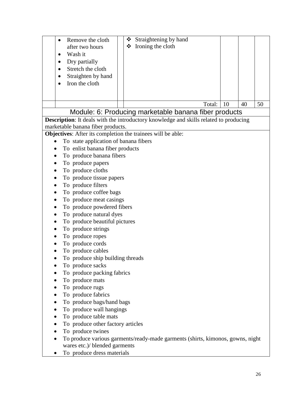<span id="page-26-0"></span>

| Remove the cloth<br>after two hours<br>Wash it              | Straightening by hand<br>❖<br>Ironing the cloth<br>❖                                         |    |    |    |
|-------------------------------------------------------------|----------------------------------------------------------------------------------------------|----|----|----|
| Dry partially<br>$\bullet$                                  |                                                                                              |    |    |    |
| Stretch the cloth                                           |                                                                                              |    |    |    |
| Straighten by hand                                          |                                                                                              |    |    |    |
| Iron the cloth                                              |                                                                                              |    |    |    |
|                                                             |                                                                                              |    |    |    |
|                                                             |                                                                                              |    |    |    |
|                                                             | Total:                                                                                       | 10 | 40 | 50 |
|                                                             | Module: 6: Producing marketable banana fiber products                                        |    |    |    |
|                                                             | <b>Description:</b> It deals with the introductory knowledge and skills related to producing |    |    |    |
| marketable banana fiber products.                           |                                                                                              |    |    |    |
| Objectives: After its completion the trainees will be able: |                                                                                              |    |    |    |
| To state application of banana fibers                       |                                                                                              |    |    |    |
| To enlist banana fiber products                             |                                                                                              |    |    |    |
| To produce banana fibers                                    |                                                                                              |    |    |    |
| To produce papers                                           |                                                                                              |    |    |    |
| To produce cloths                                           |                                                                                              |    |    |    |
| To produce tissue papers                                    |                                                                                              |    |    |    |
| To produce filters                                          |                                                                                              |    |    |    |
| To produce coffee bags                                      |                                                                                              |    |    |    |
| To produce meat casings                                     |                                                                                              |    |    |    |
| To produce powdered fibers                                  |                                                                                              |    |    |    |
| To produce natural dyes                                     |                                                                                              |    |    |    |
| To produce beautiful pictures                               |                                                                                              |    |    |    |
| To produce strings                                          |                                                                                              |    |    |    |
| To produce ropes                                            |                                                                                              |    |    |    |
| To produce cords                                            |                                                                                              |    |    |    |
| To produce cables                                           |                                                                                              |    |    |    |
| To produce ship building threads                            |                                                                                              |    |    |    |
| To produce sacks                                            |                                                                                              |    |    |    |
| To produce packing fabrics                                  |                                                                                              |    |    |    |
| To produce mats                                             |                                                                                              |    |    |    |
| To produce rugs                                             |                                                                                              |    |    |    |
| To produce fabrics                                          |                                                                                              |    |    |    |
| To produce bags/hand bags                                   |                                                                                              |    |    |    |
| To produce wall hangings                                    |                                                                                              |    |    |    |
| To produce table mats                                       |                                                                                              |    |    |    |
| To produce other factory articles                           |                                                                                              |    |    |    |
| To produce twines                                           |                                                                                              |    |    |    |
|                                                             | To produce various garments/ready-made garments (shirts, kimonos, gowns, night               |    |    |    |

wares etc.)/ blended garments To produce dress materials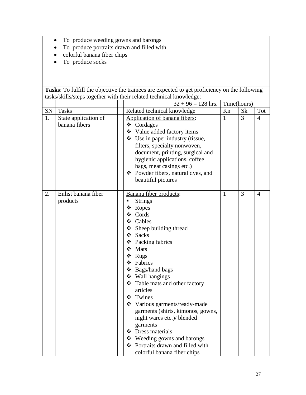- To produce weeding gowns and barongs
- To produce portraits drawn and filled with
- colorful banana fiber chips
- To produce socks

|            |                                       | $32 + 96 = 128$ hrs.                                                                                                                                                                                                                                                                                                                                                                                                                                                                                                           |              | Time(hours)    |                |
|------------|---------------------------------------|--------------------------------------------------------------------------------------------------------------------------------------------------------------------------------------------------------------------------------------------------------------------------------------------------------------------------------------------------------------------------------------------------------------------------------------------------------------------------------------------------------------------------------|--------------|----------------|----------------|
| ${\rm SN}$ | <b>Tasks</b>                          | Related technical knowledge                                                                                                                                                                                                                                                                                                                                                                                                                                                                                                    | Kn           | <b>Sk</b>      | Tot            |
| 1.         | State application of<br>banana fibers | Application of banana fibers:<br>❖ Cordages<br>❖ Value added factory items<br>$\div$ Use in paper industry (tissue,<br>filters, specialty nonwoven,<br>document, printing, surgical and<br>hygienic applications, coffee<br>bags, meat casings etc.)<br>❖ Powder fibers, natural dyes, and<br>beautiful pictures                                                                                                                                                                                                               | $\mathbf{1}$ | $\overline{3}$ | $\overline{4}$ |
| 2.         | Enlist banana fiber<br>products       | Banana fiber products:<br><b>Strings</b><br>Ξ<br>❖ Ropes<br>❖ Cords<br>❖ Cables<br>$\div$ Sheep building thread<br>❖ Sacks<br>❖ Packing fabrics<br>❖ Mats<br>❖ Rugs<br>❖ Fabrics<br>❖ Bags/hand bags<br>❖ Wall hangings<br>❖ Table mats and other factory<br>articles<br>❖ Twines<br>❖ Various garments/ready-made<br>garments (shirts, kimonos, gowns,<br>night wares etc.)/ blended<br>garments<br>❖ Dress materials<br>$\div$ Weeding gowns and barongs<br>❖ Portraits drawn and filled with<br>colorful banana fiber chips | $\mathbf{1}$ | $\overline{3}$ | 4              |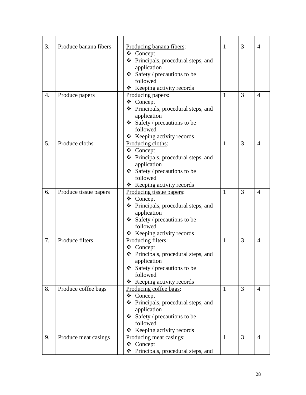| 3.               | Produce banana fibers | Producing banana fibers:<br>❖ Concept<br>❖ Principals, procedural steps, and<br>application<br>$\div$ Safety / precautions to be<br>followed<br>Keeping activity records<br>❖ | $\mathbf{1}$ | 3              | $\overline{4}$ |
|------------------|-----------------------|-------------------------------------------------------------------------------------------------------------------------------------------------------------------------------|--------------|----------------|----------------|
| $\overline{4}$ . | Produce papers        | Producing papers:<br>❖ Concept<br>❖ Principals, procedural steps, and<br>application<br>$\triangleleft$ Safety / precautions to be<br>followed<br>❖ Keeping activity records  | $\mathbf{1}$ | 3              | $\overline{4}$ |
| 5.               | Produce cloths        | Producing cloths:<br>❖ Concept<br>❖ Principals, procedural steps, and<br>application<br>$\div$ Safety / precautions to be<br>followed<br>❖ Keeping activity records           | $\mathbf{1}$ | 3              | $\overline{4}$ |
| 6.               | Produce tissue papers | Producing tissue papers:<br>❖ Concept<br>❖ Principals, procedural steps, and<br>application<br>$\div$ Safety / precautions to be<br>followed<br>❖ Keeping activity records    | $\mathbf{1}$ | $\overline{3}$ | $\overline{4}$ |
| 7.               | Produce filters       | Producing filters:<br>❖ Concept<br>❖ Principals, procedural steps, and<br>application<br>$\div$ Safety / precautions to be<br>followed<br>Keeping activity records<br>❖       | $\mathbf{1}$ | 3              | $\overline{4}$ |
| 8.               | Produce coffee bags   | Producing coffee bags:<br>❖ Concept<br>❖ Principals, procedural steps, and<br>application<br>$\div$ Safety / precautions to be<br>followed<br>Keeping activity records<br>❖   | $\mathbf{1}$ | $\overline{3}$ | $\overline{4}$ |
| 9.               | Produce meat casings  | Producing meat casings:<br>❖ Concept<br>Principals, procedural steps, and<br>❖                                                                                                | $\mathbf{1}$ | $\overline{3}$ | $\overline{4}$ |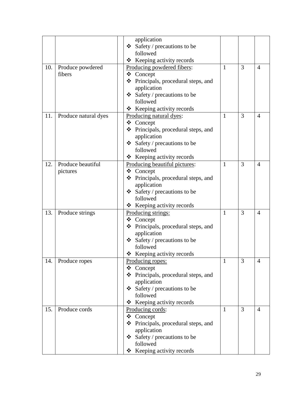| $\overline{4}$ |
|----------------|
|                |
|                |
|                |
|                |
|                |
|                |
| $\overline{4}$ |
|                |
|                |
|                |
|                |
|                |
|                |
| $\overline{4}$ |
|                |
|                |
|                |
|                |
|                |
|                |
| $\overline{4}$ |
|                |
|                |
|                |
|                |
|                |
|                |
| 4              |
|                |
|                |
|                |
|                |
|                |
|                |
| $\overline{4}$ |
|                |
|                |
|                |
|                |
|                |
|                |
|                |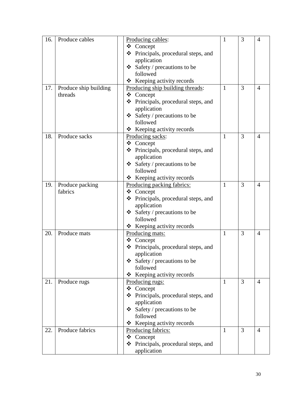| 16. | Produce cables        | Producing cables:                          | 1            | 3              | $\overline{4}$ |
|-----|-----------------------|--------------------------------------------|--------------|----------------|----------------|
|     |                       | ❖ Concept                                  |              |                |                |
|     |                       | ❖ Principals, procedural steps, and        |              |                |                |
|     |                       | application                                |              |                |                |
|     |                       | $\triangleleft$ Safety / precautions to be |              |                |                |
|     |                       | followed                                   |              |                |                |
|     |                       | $\div$ Keeping activity records            |              |                |                |
| 17. | Produce ship building | Producing ship building threads:           | 1            | 3              | 4              |
|     | threads               | ❖ Concept                                  |              |                |                |
|     |                       | ❖ Principals, procedural steps, and        |              |                |                |
|     |                       | application                                |              |                |                |
|     |                       | Safety / precautions to be                 |              |                |                |
|     |                       | followed                                   |              |                |                |
|     |                       | $\div$ Keeping activity records            |              |                |                |
| 18. | Produce sacks         | Producing sacks:                           | $\mathbf{1}$ | 3              | $\overline{4}$ |
|     |                       | ❖ Concept                                  |              |                |                |
|     |                       | ❖ Principals, procedural steps, and        |              |                |                |
|     |                       | application                                |              |                |                |
|     |                       | $\triangleleft$ Safety / precautions to be |              |                |                |
|     |                       | followed                                   |              |                |                |
|     |                       | ❖ Keeping activity records                 |              |                |                |
| 19. | Produce packing       | Producing packing fabrics:                 | $\mathbf{1}$ | 3              | $\overline{4}$ |
|     | fabrics               | ❖ Concept                                  |              |                |                |
|     |                       | ❖ Principals, procedural steps, and        |              |                |                |
|     |                       | application                                |              |                |                |
|     |                       | Safety / precautions to be                 |              |                |                |
|     |                       | followed                                   |              |                |                |
|     |                       | $\triangle$ Keeping activity records       |              |                |                |
| 20. | Produce mats          | Producing mats:                            | 1            | 3              | 4              |
|     |                       | ❖ Concept                                  |              |                |                |
|     |                       | ❖ Principals, procedural steps, and        |              |                |                |
|     |                       | application                                |              |                |                |
|     |                       | Safety / precautions to be                 |              |                |                |
|     |                       | followed                                   |              |                |                |
|     |                       | ❖ Keeping activity records                 |              |                |                |
| 21. | Produce rugs          | Producing rugs:                            | $\mathbf{1}$ | $\overline{3}$ | $\overline{4}$ |
|     |                       | ❖ Concept                                  |              |                |                |
|     |                       | ❖ Principals, procedural steps, and        |              |                |                |
|     |                       | application                                |              |                |                |
|     |                       | $\div$ Safety / precautions to be          |              |                |                |
|     |                       | followed                                   |              |                |                |
|     |                       | ❖ Keeping activity records                 |              |                |                |
| 22. | Produce fabrics       | Producing fabrics:                         | $\mathbf{1}$ | $\overline{3}$ | $\overline{4}$ |
|     |                       | ❖ Concept                                  |              |                |                |
|     |                       | Principals, procedural steps, and<br>❖     |              |                |                |
|     |                       | application                                |              |                |                |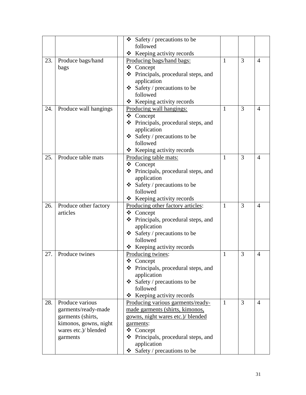|     |                       | ❖<br>Safety / precautions to be          |              |   |                |
|-----|-----------------------|------------------------------------------|--------------|---|----------------|
|     |                       | followed                                 |              |   |                |
|     |                       | Keeping activity records<br>❖            |              |   |                |
| 23. | Produce bags/hand     | Producing bags/hand bags:                | 1            | 3 | $\overline{4}$ |
|     | bags                  | ❖ Concept                                |              |   |                |
|     |                       | ❖ Principals, procedural steps, and      |              |   |                |
|     |                       | application                              |              |   |                |
|     |                       | $\div$ Safety / precautions to be        |              |   |                |
|     |                       | followed                                 |              |   |                |
|     |                       | $\triangle$ Keeping activity records     |              |   |                |
| 24. | Produce wall hangings | Producing wall hangings:                 | 1            | 3 | $\overline{4}$ |
|     |                       | ❖ Concept                                |              |   |                |
|     |                       | Principals, procedural steps, and<br>❖   |              |   |                |
|     |                       | application                              |              |   |                |
|     |                       | $\div$ Safety / precautions to be        |              |   |                |
|     |                       | followed                                 |              |   |                |
|     |                       | * Keeping activity records               |              |   |                |
| 25. | Produce table mats    | Producing table mats:                    | $\mathbf{1}$ | 3 | 4              |
|     |                       | ❖ Concept                                |              |   |                |
|     |                       | ❖<br>Principals, procedural steps, and   |              |   |                |
|     |                       | application                              |              |   |                |
|     |                       | $\div$ Safety / precautions to be        |              |   |                |
|     |                       | followed                                 |              |   |                |
|     |                       | $\triangleleft$ Keeping activity records |              |   |                |
| 26. | Produce other factory | Producing other factory articles:        | 1            | 3 | $\overline{4}$ |
|     | articles              | ❖ Concept                                |              |   |                |
|     |                       | ❖ Principals, procedural steps, and      |              |   |                |
|     |                       | application                              |              |   |                |
|     |                       | $\div$ Safety / precautions to be        |              |   |                |
|     |                       | followed                                 |              |   |                |
|     |                       | $\triangle$ Keeping activity records     |              |   |                |
| 27. | Produce twines        | Producing twines:                        | 1            | 3 | $\overline{4}$ |
|     |                       | ❖ Concept                                |              |   |                |
|     |                       | ❖ Principals, procedural steps, and      |              |   |                |
|     |                       | application                              |              |   |                |
|     |                       | $\div$ Safety / precautions to be        |              |   |                |
|     |                       | followed                                 |              |   |                |
|     |                       | Keeping activity records<br>❖            |              |   |                |
| 28. | Produce various       | Producing various garments/ready-        | 1            | 3 | $\overline{4}$ |
|     | garments/ready-made   | made garments (shirts, kimonos,          |              |   |                |
|     | garments (shirts,     | gowns, night wares etc.)/ blended        |              |   |                |
|     | kimonos, gowns, night | garments:                                |              |   |                |
|     | wares etc.)/ blended  | $\triangle$ Concept                      |              |   |                |
|     | garments              | Principals, procedural steps, and<br>❖   |              |   |                |
|     |                       | application                              |              |   |                |
|     |                       | Safety / precautions to be<br>❖          |              |   |                |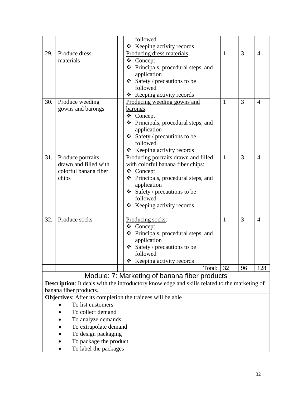<span id="page-32-0"></span>

|     |                                                                   | followed                                                                                     |              |    |                |
|-----|-------------------------------------------------------------------|----------------------------------------------------------------------------------------------|--------------|----|----------------|
|     |                                                                   | Keeping activity records<br>❖                                                                |              |    |                |
| 29. | Produce dress                                                     | Producing dress materials:                                                                   | $\mathbf{1}$ | 3  | $\overline{4}$ |
|     | materials                                                         | ❖ Concept                                                                                    |              |    |                |
|     |                                                                   | ❖ Principals, procedural steps, and                                                          |              |    |                |
|     |                                                                   | application                                                                                  |              |    |                |
|     |                                                                   | $\div$ Safety / precautions to be                                                            |              |    |                |
|     |                                                                   | followed                                                                                     |              |    |                |
|     |                                                                   | $\triangle$ Keeping activity records                                                         |              |    |                |
| 30. | Produce weeding                                                   | Producing weeding gowns and                                                                  | $\mathbf{1}$ | 3  | $\overline{4}$ |
|     | gowns and barongs                                                 | <u>barongs:</u>                                                                              |              |    |                |
|     |                                                                   | ❖ Concept                                                                                    |              |    |                |
|     |                                                                   | ❖ Principals, procedural steps, and                                                          |              |    |                |
|     |                                                                   | application                                                                                  |              |    |                |
|     |                                                                   | $\triangleleft$ Safety / precautions to be                                                   |              |    |                |
|     |                                                                   | followed                                                                                     |              |    |                |
|     |                                                                   | ❖ Keeping activity records                                                                   |              |    |                |
| 31. | Produce portraits                                                 | Producing portraits drawn and filled                                                         | $\mathbf{1}$ | 3  | $\overline{4}$ |
|     | drawn and filled with                                             | with colorful banana fiber chips:                                                            |              |    |                |
|     | colorful banana fiber                                             | ❖ Concept                                                                                    |              |    |                |
|     | chips                                                             | ❖ Principals, procedural steps, and                                                          |              |    |                |
|     |                                                                   | application                                                                                  |              |    |                |
|     |                                                                   | $\div$ Safety / precautions to be<br>followed                                                |              |    |                |
|     |                                                                   |                                                                                              |              |    |                |
|     |                                                                   | $\triangle$ Keeping activity records                                                         |              |    |                |
| 32. | Produce socks                                                     | Producing socks:                                                                             | $\mathbf{1}$ | 3  | $\overline{4}$ |
|     |                                                                   | ❖ Concept                                                                                    |              |    |                |
|     |                                                                   | ❖ Principals, procedural steps, and                                                          |              |    |                |
|     |                                                                   | application                                                                                  |              |    |                |
|     |                                                                   | Safety / precautions to be                                                                   |              |    |                |
|     |                                                                   | followed                                                                                     |              |    |                |
|     |                                                                   | Keeping activity records<br>❖                                                                |              |    |                |
|     |                                                                   | Total:                                                                                       | 32           | 96 | 128            |
|     |                                                                   | Module: 7: Marketing of banana fiber products                                                |              |    |                |
|     |                                                                   | Description: It deals with the introductory knowledge and skills related to the marketing of |              |    |                |
|     | banana fiber products.                                            |                                                                                              |              |    |                |
|     | <b>Objectives:</b> After its completion the trainees will be able |                                                                                              |              |    |                |
|     | To list customers                                                 |                                                                                              |              |    |                |
|     | To collect demand                                                 |                                                                                              |              |    |                |
|     | To analyze demands                                                |                                                                                              |              |    |                |
|     | To extrapolate demand                                             |                                                                                              |              |    |                |
|     | To design packaging                                               |                                                                                              |              |    |                |
|     | To package the product                                            |                                                                                              |              |    |                |
|     | To label the packages                                             |                                                                                              |              |    |                |
|     |                                                                   |                                                                                              |              |    |                |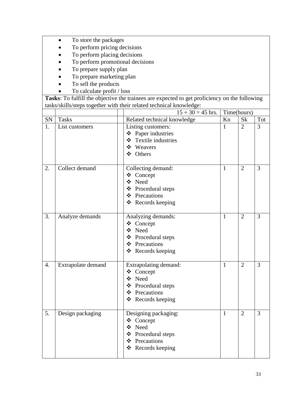- To store the packages
- To perform pricing decisions
- To perform placing decisions
- To perform promotional decisions
- To prepare supply plan
- To prepare marketing plan
- To sell the products
- To calculate profit / loss

|                  |                    | $15 + 30 = 45$ hrs.                                                                                      | Time(hours)  |                |                |
|------------------|--------------------|----------------------------------------------------------------------------------------------------------|--------------|----------------|----------------|
| ${\rm SN}$       | <b>Tasks</b>       | Related technical knowledge                                                                              | Kn           | <b>Sk</b>      | Tot            |
| 1.               | List customers     | Listing customers:<br>❖ Paper industries<br>Textile industries<br>$\frac{1}{2}$<br>❖ Weavers<br>❖ Others | 1            | $\overline{2}$ | $\overline{3}$ |
| 2.               | Collect demand     | Collecting demand:<br>❖ Concept<br>❖ Need<br>❖ Procedural steps<br>❖ Precautions<br>❖ Records keeping    | $\mathbf{1}$ | $\overline{2}$ | $\overline{3}$ |
| 3.               | Analyze demands    | Analyzing demands:<br>❖ Concept<br>❖ Need<br>❖ Procedural steps<br>❖ Precautions<br>❖ Records keeping    | $\mathbf{1}$ | $\overline{2}$ | 3              |
| $\overline{4}$ . | Extrapolate demand | Extrapolating demand:<br>❖ Concept<br>❖ Need<br>❖ Procedural steps<br>❖ Precautions<br>❖ Records keeping | $\mathbf{1}$ | $\overline{2}$ | $\overline{3}$ |
| 5.               | Design packaging   | Designing packaging:<br>❖ Concept<br>❖ Need<br>❖ Procedural steps<br>❖ Precautions<br>❖ Records keeping  | $\mathbf{1}$ | $\overline{2}$ | 3              |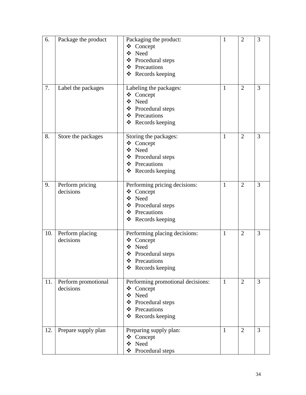| 6.  | Package the product              | Packaging the product:<br>❖ Concept<br>Need<br>❖<br>❖ Procedural steps<br>❖ Precautions<br>❖ Records keeping            | 1            | $\overline{2}$ | 3 |
|-----|----------------------------------|-------------------------------------------------------------------------------------------------------------------------|--------------|----------------|---|
| 7.  | Label the packages               | Labeling the packages:<br>❖ Concept<br>❖ Need<br>❖ Procedural steps<br>❖ Precautions<br>❖ Records keeping               | 1            | $\overline{2}$ | 3 |
| 8.  | Store the packages               | Storing the packages:<br>❖ Concept<br>❖ Need<br>❖ Procedural steps<br>❖ Precautions<br>❖ Records keeping                | $\mathbf{1}$ | $\overline{2}$ | 3 |
| 9.  | Perform pricing<br>decisions     | Performing pricing decisions:<br>❖<br>Concept<br>❖ Need<br>❖ Procedural steps<br>❖ Precautions<br>❖ Records keeping     | $\mathbf{1}$ | $\overline{2}$ | 3 |
| 10. | Perform placing<br>decisions     | Performing placing decisions:<br>Concept<br>❖<br>Need<br>❖<br>❖ Procedural steps<br>Precautions<br>Records keeping<br>❖ | $\mathbf{1}$ | $\overline{2}$ | 3 |
| 11. | Perform promotional<br>decisions | Performing promotional decisions:<br>❖ Concept<br>❖ Need<br>❖ Procedural steps<br>❖ Precautions<br>❖ Records keeping    | $\mathbf{1}$ | $\overline{2}$ | 3 |
| 12. | Prepare supply plan              | Preparing supply plan:<br>❖ Concept<br>❖ Need<br>Procedural steps<br>❖                                                  | $\mathbf{1}$ | $\overline{2}$ | 3 |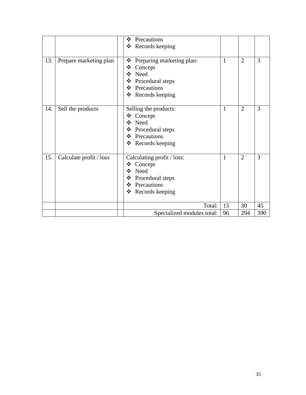|     |                         | Precautions<br>❖<br>Records keeping<br>❖                                                                                                |              |                |     |
|-----|-------------------------|-----------------------------------------------------------------------------------------------------------------------------------------|--------------|----------------|-----|
| 13. | Prepare marketing plan  | Preparing marketing plan:<br>❖<br>Concept<br>❖<br>❖<br>Need<br>Procedural steps<br>Precautions<br>$\frac{1}{2}$<br>❖<br>Records keeping | $\mathbf{1}$ | $\overline{2}$ | 3   |
| 14. | Sell the products       | Selling the products:<br>Concept<br>❖<br>Need<br>❖<br>Procedural steps<br>❖<br>$\frac{1}{2}$<br>Precautions<br>❖<br>Records keeping     | $\mathbf{1}$ | $\overline{2}$ | 3   |
| 15. | Calculate profit / loss | Calculating profit / loss:<br>Concept<br>❖<br>Need<br>❖<br>Procedural steps<br>❖<br>$\cdot$<br>Precautions<br>❖<br>Records keeping      | $\mathbf{1}$ | $\overline{2}$ | 3   |
|     |                         | Total:                                                                                                                                  | 15           | 30             | 45  |
|     |                         | Specialized modules total:                                                                                                              | 96           | 294            | 390 |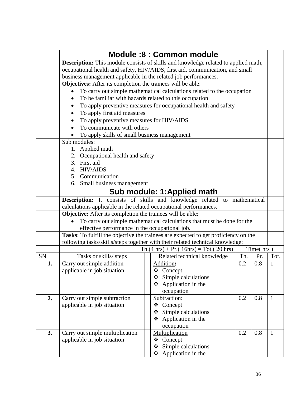<span id="page-36-1"></span><span id="page-36-0"></span>

|    | <b>Module:8: Common module</b>                                           |                                                                                           |     |           |              |  |  |
|----|--------------------------------------------------------------------------|-------------------------------------------------------------------------------------------|-----|-----------|--------------|--|--|
|    |                                                                          | <b>Description:</b> This module consists of skills and knowledge related to applied math, |     |           |              |  |  |
|    |                                                                          | occupational health and safety, HIV/AIDS, first aid, communication, and small             |     |           |              |  |  |
|    | business management applicable in the related job performances.          |                                                                                           |     |           |              |  |  |
|    | Objectives: After its completion the trainees will be able:              |                                                                                           |     |           |              |  |  |
|    |                                                                          | To carry out simple mathematical calculations related to the occupation                   |     |           |              |  |  |
|    | To be familiar with hazards related to this occupation                   |                                                                                           |     |           |              |  |  |
|    |                                                                          | To apply preventive measures for occupational health and safety                           |     |           |              |  |  |
|    | To apply first aid measures                                              |                                                                                           |     |           |              |  |  |
|    | To apply preventive measures for HIV/AIDS<br>٠                           |                                                                                           |     |           |              |  |  |
|    | To communicate with others                                               |                                                                                           |     |           |              |  |  |
|    | To apply skills of small business management                             |                                                                                           |     |           |              |  |  |
|    | Sub modules:                                                             |                                                                                           |     |           |              |  |  |
|    | 1. Applied math                                                          |                                                                                           |     |           |              |  |  |
|    | 2. Occupational health and safety<br>3. First aid                        |                                                                                           |     |           |              |  |  |
|    | 4. HIV/AIDS                                                              |                                                                                           |     |           |              |  |  |
|    | 5. Communication                                                         |                                                                                           |     |           |              |  |  |
|    | Small business management<br>6.                                          |                                                                                           |     |           |              |  |  |
|    | Sub module: 1: Applied math                                              |                                                                                           |     |           |              |  |  |
|    | Description: It consists of skills and knowledge related to mathematical |                                                                                           |     |           |              |  |  |
|    | calculations applicable in the related occupational performances.        |                                                                                           |     |           |              |  |  |
|    | <b>Objective:</b> After its completion the trainees will be able:        |                                                                                           |     |           |              |  |  |
|    | To carry out simple mathematical calculations that must be done for the  |                                                                                           |     |           |              |  |  |
|    | effective performance in the occupational job.                           |                                                                                           |     |           |              |  |  |
|    |                                                                          | Tasks: To fulfill the objective the trainees are expected to get proficiency on the       |     |           |              |  |  |
|    |                                                                          | following tasks/skills/steps together with their related technical knowledge:             |     |           |              |  |  |
|    |                                                                          | $Th.(4 hrs) + Pr.(16 hrs) = Tot.(20 hrs)$                                                 |     | Time(hrs) |              |  |  |
| SN | Tasks or skills/ steps                                                   | Related technical knowledge                                                               | Th. | Pr.       | Tot.         |  |  |
| 1. | Carry out simple addition                                                | Addition:                                                                                 | 0.2 | 0.8       | 1            |  |  |
|    | applicable in job situation                                              | $\triangleleft$ Concept                                                                   |     |           |              |  |  |
|    |                                                                          | Simple calculations<br>❖<br>Application in the<br>❖                                       |     |           |              |  |  |
|    |                                                                          | occupation                                                                                |     |           |              |  |  |
| 2. | Carry out simple subtraction                                             | Subtraction:                                                                              | 0.2 | 0.8       | $\mathbf{1}$ |  |  |
|    | applicable in job situation                                              | Concept<br>❖                                                                              |     |           |              |  |  |
|    |                                                                          | Simple calculations<br>❖                                                                  |     |           |              |  |  |
|    |                                                                          | Application in the<br>❖                                                                   |     |           |              |  |  |
|    |                                                                          | occupation                                                                                |     |           |              |  |  |
| 3. | Carry out simple multiplication                                          | Multiplication                                                                            | 0.2 | 0.8       | 1            |  |  |
|    | applicable in job situation                                              | ※<br>Concept                                                                              |     |           |              |  |  |
|    |                                                                          | Simple calculations<br>❖                                                                  |     |           |              |  |  |
|    |                                                                          | Application in the<br>❖                                                                   |     |           |              |  |  |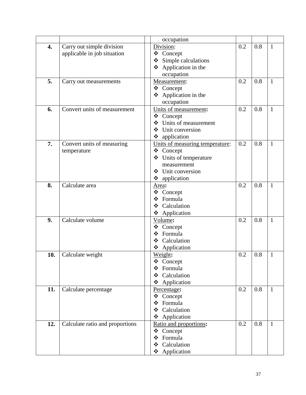|     |                                 | occupation                                               |     |     |              |
|-----|---------------------------------|----------------------------------------------------------|-----|-----|--------------|
| 4.  | Carry out simple division       | Division:                                                | 0.2 | 0.8 | $\mathbf{1}$ |
|     | applicable in job situation     | ❖ Concept                                                |     |     |              |
|     |                                 | Simple calculations<br>❖                                 |     |     |              |
|     |                                 | Application in the<br>❖                                  |     |     |              |
|     |                                 | occupation                                               |     |     |              |
| 5.  | Carry out measurements          | Measurement:                                             | 0.2 | 0.8 | $\mathbf{1}$ |
|     |                                 | ❖<br>Concept                                             |     |     |              |
|     |                                 | Application in the<br>❖                                  |     |     |              |
|     |                                 | occupation                                               |     |     |              |
| 6.  | Convert units of measurement    | Units of measurement:                                    | 0.2 | 0.8 | 1            |
|     |                                 | ❖ Concept                                                |     |     |              |
|     |                                 | Units of measurement<br>$\mathbf{v}^{\bullet}_{\bullet}$ |     |     |              |
|     |                                 | Unit conversion<br>❖                                     |     |     |              |
|     |                                 | application<br>❖                                         |     |     |              |
| 7.  | Convert units of measuring      | Units of measuring temperature:                          | 0.2 | 0.8 | $\mathbf{1}$ |
|     | temperature                     | Concept<br>❖                                             |     |     |              |
|     |                                 | Units of temperature<br>❖                                |     |     |              |
|     |                                 | measurement                                              |     |     |              |
|     |                                 | Unit conversion<br>❖                                     |     |     |              |
|     |                                 | ❖ application                                            |     |     |              |
| 8.  | Calculate area                  | Area:                                                    | 0.2 | 0.8 | $\mathbf{1}$ |
|     |                                 | Concept<br>❖                                             |     |     |              |
|     |                                 | Formula<br>❖                                             |     |     |              |
|     |                                 | Calculation<br>❖                                         |     |     |              |
|     |                                 | Application<br>❖                                         |     |     |              |
| 9.  | Calculate volume                | Volume:                                                  | 0.2 | 0.8 | $\mathbf{1}$ |
|     |                                 | ❖ Concept                                                |     |     |              |
|     |                                 | Formula<br>❖                                             |     |     |              |
|     |                                 | Calculation<br>❖                                         |     |     |              |
|     |                                 | Application<br>❖                                         |     |     |              |
| 10. | Calculate weight                | Weight:                                                  | 0.2 | 0.8 | $\mathbf{1}$ |
|     |                                 | Concept<br>❖                                             |     |     |              |
|     |                                 | Formula<br>❖                                             |     |     |              |
|     |                                 | Calculation<br>❖                                         |     |     |              |
|     |                                 | Application<br>❖                                         |     |     |              |
| 11. | Calculate percentage            | Percentage:                                              | 0.2 | 0.8 | 1            |
|     |                                 | Concept<br>❖                                             |     |     |              |
|     |                                 | Formula<br>❖                                             |     |     |              |
|     |                                 | Calculation<br>❖                                         |     |     |              |
|     |                                 | ❖ Application                                            |     |     |              |
| 12. | Calculate ratio and proportions | Ratio and proportions:                                   | 0.2 | 0.8 | 1            |
|     |                                 | ❖ Concept                                                |     |     |              |
|     |                                 | Formula<br>❖                                             |     |     |              |
|     |                                 | Calculation<br>❖                                         |     |     |              |
|     |                                 | ❖ Application                                            |     |     |              |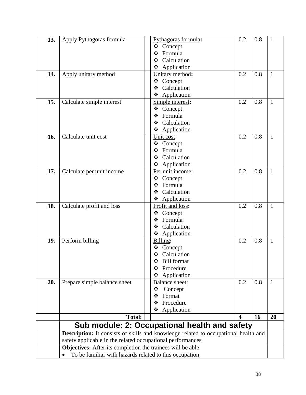<span id="page-38-0"></span>

| 13. | Apply Pythagoras formula                                           | Pythagoras formula:                                                                 | 0.2                     | 0.8 | $\mathbf{1}$ |
|-----|--------------------------------------------------------------------|-------------------------------------------------------------------------------------|-------------------------|-----|--------------|
|     |                                                                    | Concept<br>❖                                                                        |                         |     |              |
|     |                                                                    | ❖<br>Formula                                                                        |                         |     |              |
|     |                                                                    | Calculation<br>❖                                                                    |                         |     |              |
|     |                                                                    | Application<br>❖                                                                    |                         |     |              |
| 14. | Apply unitary method                                               | Unitary method:                                                                     | 0.2                     | 0.8 | $\mathbf{1}$ |
|     |                                                                    | Concept<br>❖                                                                        |                         |     |              |
|     |                                                                    | Calculation<br>❖                                                                    |                         |     |              |
|     |                                                                    | Application<br>❖                                                                    |                         |     |              |
| 15. | Calculate simple interest                                          | Simple interest:                                                                    | 0.2                     | 0.8 | 1            |
|     |                                                                    | Concept<br>❖                                                                        |                         |     |              |
|     |                                                                    | Formula<br>❖                                                                        |                         |     |              |
|     |                                                                    | Calculation<br>❖                                                                    |                         |     |              |
|     |                                                                    | Application<br>❖                                                                    |                         |     |              |
| 16. | Calculate unit cost                                                | Unit cost:                                                                          | 0.2                     | 0.8 | $\mathbf{1}$ |
|     |                                                                    | Concept<br>❖                                                                        |                         |     |              |
|     |                                                                    | Formula<br>❖                                                                        |                         |     |              |
|     |                                                                    | Calculation<br>❖                                                                    |                         |     |              |
|     |                                                                    | Application<br>❖                                                                    |                         |     |              |
| 17. | Calculate per unit income                                          | Per unit income:                                                                    | 0.2                     | 0.8 | $\mathbf{1}$ |
|     |                                                                    | ❖<br>Concept                                                                        |                         |     |              |
|     |                                                                    | ❖<br>Formula                                                                        |                         |     |              |
|     |                                                                    | Calculation<br>❖                                                                    |                         |     |              |
|     |                                                                    | Application<br>❖                                                                    |                         |     |              |
| 18. | Calculate profit and loss                                          | Profit and loss:                                                                    | 0.2                     | 0.8 | $\mathbf{1}$ |
|     |                                                                    | Concept<br>❖                                                                        |                         |     |              |
|     |                                                                    | Formula<br>❖                                                                        |                         |     |              |
|     |                                                                    | Calculation<br>❖                                                                    |                         |     |              |
|     |                                                                    | ❖<br>Application                                                                    |                         |     |              |
| 19. | Perform billing                                                    | Billing:                                                                            | 0.2                     | 0.8 | $\mathbf{1}$ |
|     |                                                                    | Concept<br>❖                                                                        |                         |     |              |
|     |                                                                    | ❖<br>Calculation                                                                    |                         |     |              |
|     |                                                                    | <b>Bill</b> format<br>❖                                                             |                         |     |              |
|     |                                                                    | Procedure<br>❖                                                                      |                         |     |              |
|     |                                                                    | Application<br>❖                                                                    |                         |     |              |
| 20. | Prepare simple balance sheet                                       | Balance sheet:                                                                      | 0.2                     | 0.8 | 1            |
|     |                                                                    | ❖<br>Concept                                                                        |                         |     |              |
|     |                                                                    | ❖<br>Format                                                                         |                         |     |              |
|     |                                                                    | Procedure<br>❖                                                                      |                         |     |              |
|     |                                                                    | ❖<br>Application                                                                    |                         |     |              |
|     | <b>Total:</b>                                                      |                                                                                     | $\overline{\mathbf{4}}$ | 16  | 20           |
|     |                                                                    | Sub module: 2: Occupational health and safety                                       |                         |     |              |
|     |                                                                    | Description: It consists of skills and knowledge related to occupational health and |                         |     |              |
|     | safety applicable in the related occupational performances         |                                                                                     |                         |     |              |
|     | <b>Objectives:</b> After its completion the trainees will be able: |                                                                                     |                         |     |              |
|     | To be familiar with hazards related to this occupation             |                                                                                     |                         |     |              |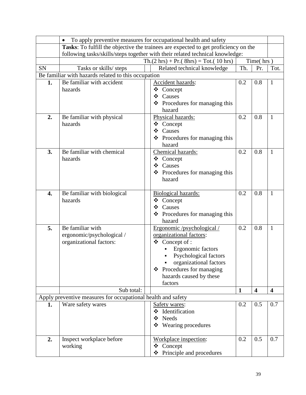|           |                                                              | To apply preventive measures for occupational health and safety                     |              |                         |                         |
|-----------|--------------------------------------------------------------|-------------------------------------------------------------------------------------|--------------|-------------------------|-------------------------|
|           |                                                              | Tasks: To fulfill the objective the trainees are expected to get proficiency on the |              |                         |                         |
|           |                                                              | following tasks/skills/steps together with their related technical knowledge:       |              |                         |                         |
|           |                                                              | $Th.(2 hrs) + Pr.(8hrs) = Tot.(10 hrs)$                                             |              | Time(hrs)               |                         |
| <b>SN</b> | Tasks or skills/ steps                                       | Related technical knowledge                                                         | Th.          | Pr.                     | Tot.                    |
|           | Be familiar with hazards related to this occupation          |                                                                                     |              |                         |                         |
| 1.        | Be familiar with accident                                    | Accident hazards:                                                                   | 0.2          | 0.8                     | 1                       |
|           | hazards                                                      | Concept<br>❖                                                                        |              |                         |                         |
|           |                                                              | Causes<br>❖                                                                         |              |                         |                         |
|           |                                                              | $\triangleleft$ Procedures for managing this                                        |              |                         |                         |
|           |                                                              | hazard                                                                              |              |                         |                         |
| 2.        | Be familiar with physical                                    | Physical hazards:                                                                   | 0.2          | 0.8                     | 1                       |
|           | hazards                                                      | ❖ Concept                                                                           |              |                         |                         |
|           |                                                              | $\frac{1}{2}$<br>Causes                                                             |              |                         |                         |
|           |                                                              | $\triangleleft$ Procedures for managing this                                        |              |                         |                         |
|           |                                                              | hazard                                                                              |              |                         |                         |
| 3.        | Be familiar with chemical                                    | Chemical hazards:                                                                   | 0.2          | 0.8                     | 1                       |
|           | hazards                                                      | Concept<br>❖                                                                        |              |                         |                         |
|           |                                                              | Causes<br>❖                                                                         |              |                         |                         |
|           |                                                              |                                                                                     |              |                         |                         |
|           |                                                              | $\triangleleft$ Procedures for managing this<br>hazard                              |              |                         |                         |
|           |                                                              |                                                                                     |              |                         |                         |
|           |                                                              |                                                                                     | 0.2          | 0.8                     |                         |
| 4.        | Be familiar with biological                                  | Biological hazards:                                                                 |              |                         | 1                       |
|           | hazards                                                      | Concept<br>❖                                                                        |              |                         |                         |
|           |                                                              | ❖<br>Causes                                                                         |              |                         |                         |
|           |                                                              | $\triangleleft$ Procedures for managing this                                        |              |                         |                         |
|           |                                                              | hazard                                                                              |              |                         |                         |
| 5.        | Be familiar with                                             | Ergonomic/psychological/                                                            | 0.2          | 0.8                     | 1                       |
|           | ergonomic/psychological /                                    | organizational factors:                                                             |              |                         |                         |
|           | organizational factors:                                      | $\cdot$<br>Concept of :                                                             |              |                         |                         |
|           |                                                              | Ergonomic factors                                                                   |              |                         |                         |
|           |                                                              | Psychological factors                                                               |              |                         |                         |
|           |                                                              | organizational factors                                                              |              |                         |                         |
|           |                                                              | Procedures for managing<br>❖                                                        |              |                         |                         |
|           |                                                              | hazards caused by these                                                             |              |                         |                         |
|           |                                                              | factors                                                                             |              |                         |                         |
|           | Sub total:                                                   |                                                                                     | $\mathbf{1}$ | $\overline{\mathbf{4}}$ | $\overline{\mathbf{4}}$ |
|           | Apply preventive measures for occupational health and safety |                                                                                     |              |                         |                         |
| 1.        | Ware safety wares                                            | Safety wares:                                                                       | 0.2          | 0.5                     | 0.7                     |
|           |                                                              | Identification<br>❖                                                                 |              |                         |                         |
|           |                                                              | <b>Needs</b><br>❖                                                                   |              |                         |                         |
|           |                                                              | Wearing procedures<br>❖                                                             |              |                         |                         |
|           |                                                              |                                                                                     |              |                         |                         |
| 2.        | Inspect workplace before                                     | Workplace inspection:                                                               | 0.2          | 0.5                     | 0.7                     |
|           | working                                                      | Concept<br>❖                                                                        |              |                         |                         |
|           |                                                              | Principle and procedures<br>❖                                                       |              |                         |                         |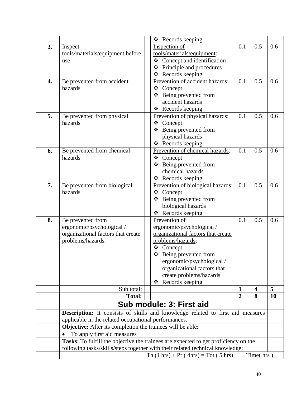<span id="page-40-0"></span>

|    |                                                                   | Records keeping<br>❖                                                                  |                |                         |     |
|----|-------------------------------------------------------------------|---------------------------------------------------------------------------------------|----------------|-------------------------|-----|
| 3. | Inspect                                                           | Inspection of                                                                         | 0.1            | 0.5                     | 0.6 |
|    | tools/materials/equipment before                                  | tools/materials/equipment:                                                            |                |                         |     |
|    | use                                                               | Concept and identification<br>❖                                                       |                |                         |     |
|    |                                                                   | Principle and procedures<br>❖                                                         |                |                         |     |
|    |                                                                   | Records keeping<br>❖                                                                  |                |                         |     |
| 4. | Be prevented from accident                                        | Prevention of accident hazards:                                                       | 0.1            | 0.5                     | 0.6 |
|    | hazards                                                           | ❖<br>Concept                                                                          |                |                         |     |
|    |                                                                   | Being prevented from<br>❖                                                             |                |                         |     |
|    |                                                                   | accident hazards                                                                      |                |                         |     |
|    |                                                                   | Records keeping<br>❖                                                                  |                |                         |     |
| 5. | Be prevented from physical                                        | Prevention of physical hazards:                                                       | 0.1            | 0.5                     | 0.6 |
|    | hazards                                                           | ❖<br>Concept                                                                          |                |                         |     |
|    |                                                                   | Being prevented from<br>❖                                                             |                |                         |     |
|    |                                                                   | physical hazards                                                                      |                |                         |     |
|    |                                                                   | ❖ Records keeping                                                                     |                |                         |     |
| 6. | Be prevented from chemical                                        | Prevention of chemical hazards:                                                       | 0.1            | 0.5                     | 0.6 |
|    | hazards                                                           | ❖ Concept                                                                             |                |                         |     |
|    |                                                                   | Being prevented from<br>❖                                                             |                |                         |     |
|    |                                                                   | chemical hazards                                                                      |                |                         |     |
|    |                                                                   | Records keeping<br>❖                                                                  |                |                         |     |
| 7. | Be prevented from biological                                      | Prevention of biological hazards:                                                     | 0.1            | 0.5                     | 0.6 |
|    | hazards                                                           | Concept<br>❖                                                                          |                |                         |     |
|    |                                                                   | Being prevented from<br>❖                                                             |                |                         |     |
|    |                                                                   | biological hazards                                                                    |                |                         |     |
|    |                                                                   | Records keeping<br>❖<br>Prevention of                                                 |                |                         |     |
| 8. | Be prevented from                                                 |                                                                                       | 0.1            | 0.5                     | 0.6 |
|    | ergonomic/psychological /<br>organizational factors that create   | ergonomic/psychological/<br>organizational factors that create                        |                |                         |     |
|    | problems/hazards.                                                 | problems/hazards:                                                                     |                |                         |     |
|    |                                                                   | ❖<br>Concept                                                                          |                |                         |     |
|    |                                                                   | ❖<br>Being prevented from                                                             |                |                         |     |
|    |                                                                   | ergonomic/psychological/                                                              |                |                         |     |
|    |                                                                   | organizational factors that                                                           |                |                         |     |
|    |                                                                   | create problems/hazards                                                               |                |                         |     |
|    |                                                                   | Records keeping<br>❖                                                                  |                |                         |     |
|    | Sub total:                                                        |                                                                                       | $\mathbf{1}$   | $\overline{\mathbf{4}}$ | 5   |
|    | <b>Total:</b>                                                     |                                                                                       | $\overline{2}$ | 8                       | 10  |
|    |                                                                   | Sub module: 3: First aid                                                              |                |                         |     |
|    |                                                                   | <b>Description:</b> It consists of skills and knowledge related to first aid measures |                |                         |     |
|    | applicable in the related occupational performances.              |                                                                                       |                |                         |     |
|    | <b>Objective:</b> After its completion the trainees will be able: |                                                                                       |                |                         |     |
|    | To apply first aid measures                                       |                                                                                       |                |                         |     |
|    |                                                                   | Tasks: To fulfill the objective the trainees are expected to get proficiency on the   |                |                         |     |
|    |                                                                   | following tasks/skills/steps together with their related technical knowledge:         |                |                         |     |
|    |                                                                   | $\text{Th.}(1 \text{ hrs}) + \text{Pr.}(4 \text{ hrs}) = \text{Tot.}(5 \text{ hrs})$  |                | Time(hrs)               |     |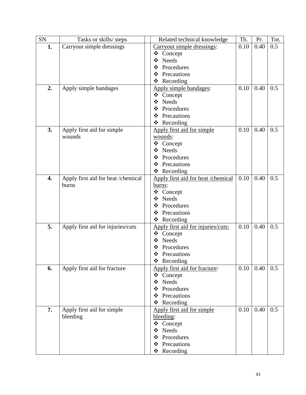| Related technical knowledge | Th.                                                                                                                                                                                                                                                                                                                                                                                                                                                                                                                                                                                                                                                                                                                                                               | Pr.                                                                                | Tot.                                 |
|-----------------------------|-------------------------------------------------------------------------------------------------------------------------------------------------------------------------------------------------------------------------------------------------------------------------------------------------------------------------------------------------------------------------------------------------------------------------------------------------------------------------------------------------------------------------------------------------------------------------------------------------------------------------------------------------------------------------------------------------------------------------------------------------------------------|------------------------------------------------------------------------------------|--------------------------------------|
| Carryout simple dressings:  | 0.10                                                                                                                                                                                                                                                                                                                                                                                                                                                                                                                                                                                                                                                                                                                                                              | 0.40                                                                               | 0.5                                  |
| ❖<br>Concept                |                                                                                                                                                                                                                                                                                                                                                                                                                                                                                                                                                                                                                                                                                                                                                                   |                                                                                    |                                      |
| <b>Needs</b><br>❖           |                                                                                                                                                                                                                                                                                                                                                                                                                                                                                                                                                                                                                                                                                                                                                                   |                                                                                    |                                      |
| Procedures<br>❖             |                                                                                                                                                                                                                                                                                                                                                                                                                                                                                                                                                                                                                                                                                                                                                                   |                                                                                    |                                      |
| Precautions<br>❖            |                                                                                                                                                                                                                                                                                                                                                                                                                                                                                                                                                                                                                                                                                                                                                                   |                                                                                    |                                      |
| Recording<br>❖              |                                                                                                                                                                                                                                                                                                                                                                                                                                                                                                                                                                                                                                                                                                                                                                   |                                                                                    |                                      |
|                             |                                                                                                                                                                                                                                                                                                                                                                                                                                                                                                                                                                                                                                                                                                                                                                   | 0.40                                                                               | 0.5                                  |
| ❖ Concept                   |                                                                                                                                                                                                                                                                                                                                                                                                                                                                                                                                                                                                                                                                                                                                                                   |                                                                                    |                                      |
|                             |                                                                                                                                                                                                                                                                                                                                                                                                                                                                                                                                                                                                                                                                                                                                                                   |                                                                                    |                                      |
| ❖                           |                                                                                                                                                                                                                                                                                                                                                                                                                                                                                                                                                                                                                                                                                                                                                                   |                                                                                    |                                      |
| ❖                           |                                                                                                                                                                                                                                                                                                                                                                                                                                                                                                                                                                                                                                                                                                                                                                   |                                                                                    |                                      |
|                             |                                                                                                                                                                                                                                                                                                                                                                                                                                                                                                                                                                                                                                                                                                                                                                   |                                                                                    |                                      |
|                             |                                                                                                                                                                                                                                                                                                                                                                                                                                                                                                                                                                                                                                                                                                                                                                   |                                                                                    | 0.5                                  |
|                             |                                                                                                                                                                                                                                                                                                                                                                                                                                                                                                                                                                                                                                                                                                                                                                   |                                                                                    |                                      |
|                             |                                                                                                                                                                                                                                                                                                                                                                                                                                                                                                                                                                                                                                                                                                                                                                   |                                                                                    |                                      |
|                             |                                                                                                                                                                                                                                                                                                                                                                                                                                                                                                                                                                                                                                                                                                                                                                   |                                                                                    |                                      |
|                             |                                                                                                                                                                                                                                                                                                                                                                                                                                                                                                                                                                                                                                                                                                                                                                   |                                                                                    |                                      |
|                             |                                                                                                                                                                                                                                                                                                                                                                                                                                                                                                                                                                                                                                                                                                                                                                   |                                                                                    |                                      |
|                             |                                                                                                                                                                                                                                                                                                                                                                                                                                                                                                                                                                                                                                                                                                                                                                   |                                                                                    |                                      |
|                             |                                                                                                                                                                                                                                                                                                                                                                                                                                                                                                                                                                                                                                                                                                                                                                   |                                                                                    | 0.5                                  |
|                             |                                                                                                                                                                                                                                                                                                                                                                                                                                                                                                                                                                                                                                                                                                                                                                   |                                                                                    |                                      |
|                             |                                                                                                                                                                                                                                                                                                                                                                                                                                                                                                                                                                                                                                                                                                                                                                   |                                                                                    |                                      |
|                             |                                                                                                                                                                                                                                                                                                                                                                                                                                                                                                                                                                                                                                                                                                                                                                   |                                                                                    |                                      |
|                             |                                                                                                                                                                                                                                                                                                                                                                                                                                                                                                                                                                                                                                                                                                                                                                   |                                                                                    |                                      |
|                             |                                                                                                                                                                                                                                                                                                                                                                                                                                                                                                                                                                                                                                                                                                                                                                   |                                                                                    |                                      |
|                             |                                                                                                                                                                                                                                                                                                                                                                                                                                                                                                                                                                                                                                                                                                                                                                   |                                                                                    |                                      |
|                             |                                                                                                                                                                                                                                                                                                                                                                                                                                                                                                                                                                                                                                                                                                                                                                   |                                                                                    | 0.5                                  |
|                             |                                                                                                                                                                                                                                                                                                                                                                                                                                                                                                                                                                                                                                                                                                                                                                   |                                                                                    |                                      |
|                             |                                                                                                                                                                                                                                                                                                                                                                                                                                                                                                                                                                                                                                                                                                                                                                   |                                                                                    |                                      |
|                             |                                                                                                                                                                                                                                                                                                                                                                                                                                                                                                                                                                                                                                                                                                                                                                   |                                                                                    |                                      |
|                             |                                                                                                                                                                                                                                                                                                                                                                                                                                                                                                                                                                                                                                                                                                                                                                   |                                                                                    |                                      |
|                             |                                                                                                                                                                                                                                                                                                                                                                                                                                                                                                                                                                                                                                                                                                                                                                   |                                                                                    |                                      |
|                             |                                                                                                                                                                                                                                                                                                                                                                                                                                                                                                                                                                                                                                                                                                                                                                   |                                                                                    | 0.5                                  |
|                             |                                                                                                                                                                                                                                                                                                                                                                                                                                                                                                                                                                                                                                                                                                                                                                   |                                                                                    |                                      |
|                             |                                                                                                                                                                                                                                                                                                                                                                                                                                                                                                                                                                                                                                                                                                                                                                   |                                                                                    |                                      |
|                             |                                                                                                                                                                                                                                                                                                                                                                                                                                                                                                                                                                                                                                                                                                                                                                   |                                                                                    |                                      |
|                             |                                                                                                                                                                                                                                                                                                                                                                                                                                                                                                                                                                                                                                                                                                                                                                   |                                                                                    |                                      |
|                             |                                                                                                                                                                                                                                                                                                                                                                                                                                                                                                                                                                                                                                                                                                                                                                   |                                                                                    | 0.5                                  |
|                             |                                                                                                                                                                                                                                                                                                                                                                                                                                                                                                                                                                                                                                                                                                                                                                   |                                                                                    |                                      |
|                             |                                                                                                                                                                                                                                                                                                                                                                                                                                                                                                                                                                                                                                                                                                                                                                   |                                                                                    |                                      |
|                             |                                                                                                                                                                                                                                                                                                                                                                                                                                                                                                                                                                                                                                                                                                                                                                   |                                                                                    |                                      |
|                             |                                                                                                                                                                                                                                                                                                                                                                                                                                                                                                                                                                                                                                                                                                                                                                   |                                                                                    |                                      |
|                             |                                                                                                                                                                                                                                                                                                                                                                                                                                                                                                                                                                                                                                                                                                                                                                   |                                                                                    |                                      |
|                             |                                                                                                                                                                                                                                                                                                                                                                                                                                                                                                                                                                                                                                                                                                                                                                   |                                                                                    |                                      |
|                             | Apply simple bandages:<br>$\cdot$<br><b>Needs</b><br>Procedures<br>Precautions<br>Recording<br>❖<br>Apply first aid for simple<br>wounds:<br>❖<br>Concept<br>❖<br>Needs<br>Procedures<br>❖<br>Precautions<br>❖<br>Recording<br>❖<br>Apply first aid for heat /chemical<br>burns:<br>❖<br>Concept<br><b>Needs</b><br>❖<br>Procedures<br>❖<br>Precautions<br>❖<br>Recording<br>❖<br>Apply first aid for injuries/cuts:<br>❖<br>Concept<br>Needs<br>❖<br>Procedures<br>❖<br>❖<br>Precautions<br>❖<br>Recording<br>Apply first aid for fracture:<br>❖<br>Concept<br><b>Needs</b><br>❖<br>Procedures<br>❖<br>Precautions<br>❖<br>Recording<br>❖<br>Apply first aid for simple<br>bleeding:<br>❖<br>Concept<br><b>Needs</b><br>❖<br>Procedures<br>❖<br>Precautions<br>❖ | 0.10<br>0.10<br>Apply first aid for heat /chemical<br>0.10<br>0.10<br>0.10<br>0.10 | 0.40<br>0.40<br>0.40<br>0.40<br>0.40 |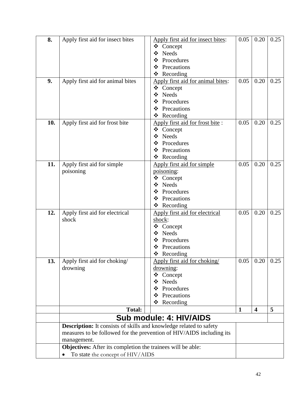<span id="page-42-0"></span>

| 8.  | Apply first aid for insect bites                                   | Apply first aid for insect bites:                                    | 0.05         | 0.20                    | 0.25 |
|-----|--------------------------------------------------------------------|----------------------------------------------------------------------|--------------|-------------------------|------|
|     |                                                                    | ❖ Concept                                                            |              |                         |      |
|     |                                                                    | <b>Needs</b><br>❖                                                    |              |                         |      |
|     |                                                                    | Procedures<br>❖                                                      |              |                         |      |
|     |                                                                    | Precautions<br>❖                                                     |              |                         |      |
|     |                                                                    | Recording<br>❖                                                       |              |                         |      |
| 9.  | Apply first aid for animal bites                                   | Apply first aid for animal bites:                                    | 0.05         | 0.20                    | 0.25 |
|     |                                                                    | ❖ Concept                                                            |              |                         |      |
|     |                                                                    | <b>Needs</b><br>❖                                                    |              |                         |      |
|     |                                                                    | Procedures<br>❖                                                      |              |                         |      |
|     |                                                                    | Precautions<br>❖                                                     |              |                         |      |
|     |                                                                    | Recording<br>❖                                                       |              |                         |      |
| 10. | Apply first aid for frost bite                                     | Apply first aid for frost bite:                                      | 0.05         | 0.20                    | 0.25 |
|     |                                                                    | Concept<br>❖                                                         |              |                         |      |
|     |                                                                    | Needs<br>❖                                                           |              |                         |      |
|     |                                                                    | Procedures<br>❖                                                      |              |                         |      |
|     |                                                                    | Precautions<br>❖                                                     |              |                         |      |
|     |                                                                    | Recording<br>❖                                                       |              |                         |      |
| 11. | Apply first aid for simple                                         | Apply first aid for simple                                           | 0.05         | 0.20                    | 0.25 |
|     | poisoning                                                          | poisoning:                                                           |              |                         |      |
|     |                                                                    | ❖ Concept                                                            |              |                         |      |
|     |                                                                    | Needs<br>❖                                                           |              |                         |      |
|     |                                                                    | Procedures<br>❖                                                      |              |                         |      |
|     |                                                                    | Precautions<br>❖                                                     |              |                         |      |
|     |                                                                    | Recording<br>❖                                                       |              |                         |      |
| 12. | Apply first aid for electrical                                     | Apply first aid for electrical                                       | 0.05         | 0.20                    | 0.25 |
|     | shock                                                              | shock:                                                               |              |                         |      |
|     |                                                                    | ❖<br>Concept                                                         |              |                         |      |
|     |                                                                    | <b>Needs</b><br>❖                                                    |              |                         |      |
|     |                                                                    | Procedures<br>❖                                                      |              |                         |      |
|     |                                                                    | Precautions<br>❖                                                     |              |                         |      |
|     |                                                                    | Recording<br>❖                                                       |              |                         |      |
| 13. | Apply first aid for choking/                                       | Apply first aid for choking/                                         | 0.05         | $0.20 \mid 0.25$        |      |
|     | drowning                                                           | drowning:                                                            |              |                         |      |
|     |                                                                    | ❖<br>Concept                                                         |              |                         |      |
|     |                                                                    | <b>Needs</b><br>❖                                                    |              |                         |      |
|     |                                                                    | Procedures<br>❖                                                      |              |                         |      |
|     |                                                                    | Precautions<br>❖                                                     |              |                         |      |
|     |                                                                    | ❖<br>Recording                                                       |              |                         |      |
|     | <b>Total:</b>                                                      |                                                                      | $\mathbf{1}$ | $\overline{\mathbf{4}}$ | 5    |
|     |                                                                    | Sub module: 4: HIV/AIDS                                              |              |                         |      |
|     | Description: It consists of skills and knowledge related to safety |                                                                      |              |                         |      |
|     |                                                                    | measures to be followed for the prevention of HIV/AIDS including its |              |                         |      |
|     | management.                                                        |                                                                      |              |                         |      |
|     | Objectives: After its completion the trainees will be able:        |                                                                      |              |                         |      |
|     | To state the concept of HIV/AIDS                                   |                                                                      |              |                         |      |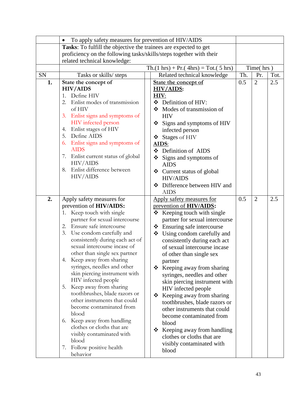|    | To apply safety measures for prevention of HIV/AIDS<br>$\bullet$    |                                                                                      |     |                |      |
|----|---------------------------------------------------------------------|--------------------------------------------------------------------------------------|-----|----------------|------|
|    | Tasks: To fulfill the objective the trainees are expected to get    |                                                                                      |     |                |      |
|    | proficiency on the following tasks/skills/steps together with their |                                                                                      |     |                |      |
|    | related technical knowledge:                                        |                                                                                      |     |                |      |
|    |                                                                     | $\text{Th.}(1 \text{ hrs}) + \text{Pr.}(4 \text{ hrs}) = \text{Tot.}(5 \text{ hrs})$ |     | Time(hrs)      |      |
| SN | Tasks or skills/ steps                                              | Related technical knowledge                                                          | Th. | Pr.            | Tot. |
| 1. | State the concept of                                                | State the concept of                                                                 | 0.5 | $\overline{2}$ | 2.5  |
|    | <b>HIV/AIDS</b>                                                     | HIV/AIDS:                                                                            |     |                |      |
|    | 1. Define HIV                                                       | HIV:                                                                                 |     |                |      |
|    | Enlist modes of transmission<br>2.                                  | Definition of HIV:<br>❖                                                              |     |                |      |
|    | of HIV                                                              | Modes of transmission of                                                             |     |                |      |
|    | 3. Enlist signs and symptoms of                                     | <b>HIV</b>                                                                           |     |                |      |
|    | HIV infected person                                                 | Signs and symptoms of HIV<br>❖                                                       |     |                |      |
|    | Enlist stages of HIV<br>4.<br>5. Define AIDS                        | infected person                                                                      |     |                |      |
|    | 6. Enlist signs and symptoms of                                     | Stages of HIV<br>❖                                                                   |     |                |      |
|    | <b>AIDS</b>                                                         | AIDS:<br>❖ Definition of AIDS                                                        |     |                |      |
|    | 7. Enlist current status of global                                  |                                                                                      |     |                |      |
|    | <b>HIV/AIDS</b>                                                     | $\div$ Signs and symptoms of<br><b>AIDS</b>                                          |     |                |      |
|    | 8. Enlist difference between                                        | Current status of global<br>❖                                                        |     |                |      |
|    | <b>HIV/AIDS</b>                                                     | <b>HIV/AIDS</b>                                                                      |     |                |      |
|    |                                                                     | Difference between HIV and<br>❖                                                      |     |                |      |
|    |                                                                     | <b>AIDS</b>                                                                          |     |                |      |
| 2. | Apply safety measures for                                           | Apply safety measures for                                                            | 0.5 | $\overline{2}$ | 2.5  |
|    | prevention of HIV/AIDS:                                             | prevention of HIV/AIDS:                                                              |     |                |      |
|    | Keep touch with single<br>1.                                        | Keeping touch with single<br>❖                                                       |     |                |      |
|    | partner for sexual intercourse                                      | partner for sexual intercourse                                                       |     |                |      |
|    | 2. Ensure safe intercourse                                          | ❖ Ensuring safe intercourse                                                          |     |                |      |
|    | 3. Use condom carefully and                                         | Using condom carefully and<br>❖                                                      |     |                |      |
|    | consistently during each act of                                     | consistently during each act                                                         |     |                |      |
|    | sexual intercourse incase of                                        | of sexual intercourse incase                                                         |     |                |      |
|    | other than single sex partner                                       | of other than single sex                                                             |     |                |      |
|    | Keep away from sharing<br>4.                                        | partner                                                                              |     |                |      |
|    | syringes, needles and other                                         | Keeping away from sharing<br>❖                                                       |     |                |      |
|    | skin piercing instrument with                                       | syringes, needles and other                                                          |     |                |      |
|    | HIV infected people                                                 | skin piercing instrument with                                                        |     |                |      |
|    | Keep away from sharing<br>5.                                        | HIV infected people                                                                  |     |                |      |
|    | toothbrushes, blade razors or<br>other instruments that could       | Keeping away from sharing<br>❖                                                       |     |                |      |
|    | become contaminated from                                            | toothbrushes, blade razors or                                                        |     |                |      |
|    | blood                                                               | other instruments that could                                                         |     |                |      |
|    | 6. Keep away from handling                                          | become contaminated from                                                             |     |                |      |
|    | clothes or cloths that are                                          | blood                                                                                |     |                |      |
|    | visibly contaminated with                                           | Keeping away from handling<br>❖                                                      |     |                |      |
|    | blood                                                               | clothes or cloths that are                                                           |     |                |      |
|    | Follow positive health<br>7.                                        | visibly contaminated with                                                            |     |                |      |
|    | behavior                                                            | blood                                                                                |     |                |      |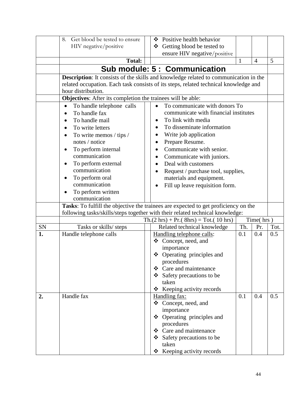<span id="page-44-0"></span>

|    | Get blood be tested to ensure<br>8.                         | ❖ Positive health behavior                                                           |     |                |      |
|----|-------------------------------------------------------------|--------------------------------------------------------------------------------------|-----|----------------|------|
|    | HIV negative/positive                                       | ❖ Getting blood be tested to                                                         |     |                |      |
|    |                                                             | ensure HIV negative/positive                                                         |     |                |      |
|    | <b>Total:</b>                                               | $\mathbf{1}$                                                                         |     | $\overline{4}$ | 5    |
|    |                                                             | Sub module: 5 : Communication                                                        |     |                |      |
|    |                                                             |                                                                                      |     |                |      |
|    |                                                             | Description: It consists of the skills and knowledge related to communication in the |     |                |      |
|    |                                                             | related occupation. Each task consists of its steps, related technical knowledge and |     |                |      |
|    | hour distribution.                                          |                                                                                      |     |                |      |
|    | Objectives: After its completion the trainees will be able: | To communicate with donors To<br>$\bullet$                                           |     |                |      |
|    | To handle telephone calls<br>$\bullet$<br>To handle fax     | communicate with financial institutes                                                |     |                |      |
|    | To handle mail                                              | To link with media<br>$\bullet$                                                      |     |                |      |
|    | $\bullet$<br>To write letters                               | To disseminate information<br>$\bullet$                                              |     |                |      |
|    |                                                             | Write job application                                                                |     |                |      |
|    | To write memos / tips /<br>$\bullet$<br>notes / notice      | Prepare Resume.<br>٠                                                                 |     |                |      |
|    | To perform internal                                         | Communicate with senior.                                                             |     |                |      |
|    | communication                                               | Communicate with juniors.<br>٠                                                       |     |                |      |
|    | To perform external                                         | Deal with customers                                                                  |     |                |      |
|    | communication                                               | Request / purchase tool, supplies,                                                   |     |                |      |
|    | To perform oral<br>٠                                        | materials and equipment.                                                             |     |                |      |
|    | communication                                               | Fill up leave requisition form.                                                      |     |                |      |
|    | To perform written                                          |                                                                                      |     |                |      |
|    | communication                                               |                                                                                      |     |                |      |
|    |                                                             | Tasks: To fulfill the objective the trainees are expected to get proficiency on the  |     |                |      |
|    |                                                             | following tasks/skills/steps together with their related technical knowledge:        |     |                |      |
|    |                                                             | $Th.(2 hrs) + Pr.(8hrs) = Tot.(10 hrs)$                                              |     | Time(hrs)      |      |
| SN | Tasks or skills/ steps                                      | Related technical knowledge                                                          | Th. | Pr.            | Tot. |
| 1. | Handle telephone calls                                      | Handling telephone calls:                                                            | 0.1 | 0.4            | 0.5  |
|    |                                                             | ❖ Concept, need, and                                                                 |     |                |      |
|    |                                                             | importance                                                                           |     |                |      |
|    |                                                             | ❖ Operating principles and                                                           |     |                |      |
|    |                                                             | procedures                                                                           |     |                |      |
|    |                                                             | ❖ Care and maintenance                                                               |     |                |      |
|    |                                                             | $\div$ Safety precautions to be                                                      |     |                |      |
|    |                                                             | taken                                                                                |     |                |      |
|    |                                                             | ❖ Keeping activity records                                                           |     |                |      |
| 2. | Handle fax                                                  | Handling fax:                                                                        | 0.1 | 0.4            | 0.5  |
|    |                                                             | ❖ Concept, need, and<br>importance                                                   |     |                |      |
|    |                                                             | ❖ Operating principles and                                                           |     |                |      |
|    |                                                             | procedures                                                                           |     |                |      |
|    |                                                             | ❖ Care and maintenance                                                               |     |                |      |
|    |                                                             | ❖ Safety precautions to be                                                           |     |                |      |
|    |                                                             | taken                                                                                |     |                |      |
|    |                                                             | Keeping activity records<br>❖                                                        |     |                |      |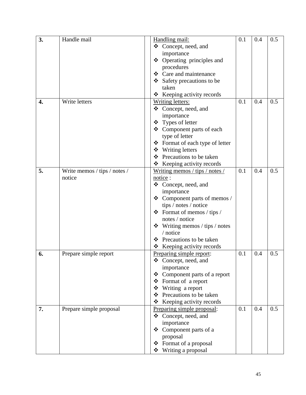| 3. | Handle mail                  | Handling mail:                      | 0.1 | 0.4 | 0.5 |
|----|------------------------------|-------------------------------------|-----|-----|-----|
|    |                              | ❖ Concept, need, and                |     |     |     |
|    |                              | importance                          |     |     |     |
|    |                              | ❖ Operating principles and          |     |     |     |
|    |                              | procedures                          |     |     |     |
|    |                              | ❖ Care and maintenance              |     |     |     |
|    |                              | Safety precautions to be<br>❖       |     |     |     |
|    |                              | taken                               |     |     |     |
|    |                              | * Keeping activity records          |     |     |     |
| 4. | Write letters                | <b>Writing letters:</b>             | 0.1 | 0.4 | 0.5 |
|    |                              | ❖ Concept, need, and                |     |     |     |
|    |                              | importance                          |     |     |     |
|    |                              | ❖ Types of letter                   |     |     |     |
|    |                              | ❖ Component parts of each           |     |     |     |
|    |                              | type of letter                      |     |     |     |
|    |                              | ❖ Format of each type of letter     |     |     |     |
|    |                              | ❖ Writing letters                   |     |     |     |
|    |                              | ❖ Precautions to be taken           |     |     |     |
|    |                              | $\div$ Keeping activity records     |     |     |     |
| 5. | Write memos / tips / notes / | Writing memos / tips / notes /      | 0.1 | 0.4 | 0.5 |
|    | notice                       | notice:                             |     |     |     |
|    |                              | ❖ Concept, need, and                |     |     |     |
|    |                              | importance                          |     |     |     |
|    |                              | ❖ Component parts of memos /        |     |     |     |
|    |                              | tips / notes / notice               |     |     |     |
|    |                              | $\div$ Format of memos / tips /     |     |     |     |
|    |                              | notes / notice                      |     |     |     |
|    |                              | $\div$ Writing memos / tips / notes |     |     |     |
|    |                              | / notice                            |     |     |     |
|    |                              | Precautions to be taken<br>❖        |     |     |     |
|    |                              | ❖ Keeping activity records          |     |     |     |
| 6. | Prepare simple report        | Preparing simple report:            | 0.1 | 0.4 | 0.5 |
|    |                              | ❖ Concept, need, and                |     |     |     |
|    |                              | importance                          |     |     |     |
|    |                              | ❖ Component parts of a report       |     |     |     |
|    |                              | Format of a report<br>❖             |     |     |     |
|    |                              | Writing a report<br>❖               |     |     |     |
|    |                              | Precautions to be taken<br>❖        |     |     |     |
|    |                              | Keeping activity records<br>❖       |     |     |     |
| 7. | Prepare simple proposal      | Preparing simple proposal:          | 0.1 | 0.4 | 0.5 |
|    |                              | ❖ Concept, need, and                |     |     |     |
|    |                              | importance                          |     |     |     |
|    |                              | Component parts of a<br>❖           |     |     |     |
|    |                              | proposal                            |     |     |     |
|    |                              | ❖ Format of a proposal              |     |     |     |
|    |                              | Writing a proposal<br>❖             |     |     |     |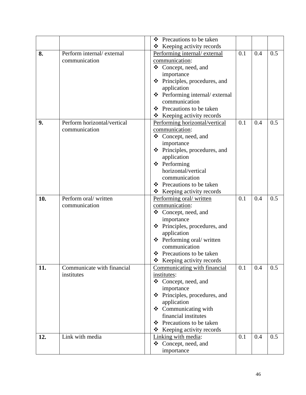|     |                             | Precautions to be taken<br>❖             |     |     |     |
|-----|-----------------------------|------------------------------------------|-----|-----|-----|
|     |                             | $\triangle$ Keeping activity records     |     |     |     |
| 8.  | Perform internal/external   | Performing internal/external             | 0.1 | 0.4 | 0.5 |
|     | communication               | communication:                           |     |     |     |
|     |                             | ❖ Concept, need, and                     |     |     |     |
|     |                             | importance                               |     |     |     |
|     |                             | Principles, procedures, and<br>❖         |     |     |     |
|     |                             | application                              |     |     |     |
|     |                             | ❖ Performing internal/ external          |     |     |     |
|     |                             | communication                            |     |     |     |
|     |                             | ❖ Precautions to be taken                |     |     |     |
|     |                             | ❖ Keeping activity records               |     |     |     |
| 9.  | Perform horizontal/vertical | Performing horizontal/vertical           | 0.1 | 0.4 | 0.5 |
|     | communication               | communication:                           |     |     |     |
|     |                             | ❖ Concept, need, and                     |     |     |     |
|     |                             | importance                               |     |     |     |
|     |                             | ❖ Principles, procedures, and            |     |     |     |
|     |                             | application                              |     |     |     |
|     |                             | ❖ Performing                             |     |     |     |
|     |                             | horizontal/vertical                      |     |     |     |
|     |                             | communication                            |     |     |     |
|     |                             | ❖ Precautions to be taken                |     |     |     |
|     |                             | Keeping activity records<br>❖            |     |     |     |
| 10. | Perform oral/written        | Performing oral/written                  | 0.1 | 0.4 | 0.5 |
|     | communication               | communication:                           |     |     |     |
|     |                             | ❖<br>Concept, need, and                  |     |     |     |
|     |                             | importance                               |     |     |     |
|     |                             | ❖ Principles, procedures, and            |     |     |     |
|     |                             | application                              |     |     |     |
|     |                             | ❖ Performing oral/ written               |     |     |     |
|     |                             | communication                            |     |     |     |
|     |                             | ❖ Precautions to be taken                |     |     |     |
|     |                             | ❖<br>Keeping activity records            |     |     |     |
| 11. | Communicate with financial  | Communicating with financial             | 0.1 | 0.4 | 0.5 |
|     | institutes                  | institutes:                              |     |     |     |
|     |                             | ❖ Concept, need, and                     |     |     |     |
|     |                             | importance                               |     |     |     |
|     |                             | ❖ Principles, procedures, and            |     |     |     |
|     |                             | application                              |     |     |     |
|     |                             | $\triangleleft$ Communicating with       |     |     |     |
|     |                             | financial institutes                     |     |     |     |
|     |                             | $\div$ Precautions to be taken           |     |     |     |
|     |                             | $\triangleleft$ Keeping activity records |     |     |     |
| 12. | Link with media             | Linking with media:                      | 0.1 | 0.4 | 0.5 |
|     |                             | ❖ Concept, need, and                     |     |     |     |
|     |                             | importance                               |     |     |     |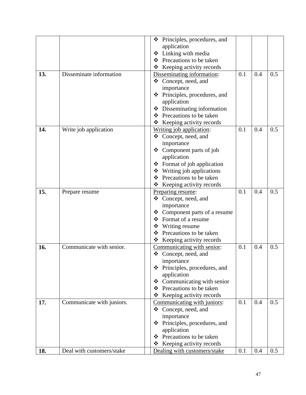|     |                           | Principles, procedures, and<br>❖                     |     |     |     |
|-----|---------------------------|------------------------------------------------------|-----|-----|-----|
|     |                           | application                                          |     |     |     |
|     |                           | Linking with media<br>❖                              |     |     |     |
|     |                           | Precautions to be taken<br>❖                         |     |     |     |
|     |                           | $\triangleleft$ Keeping activity records             |     |     |     |
| 13. | Disseminate information   | Disseminating information:                           | 0.1 | 0.4 | 0.5 |
|     |                           | Concept, need, and<br>❖                              |     |     |     |
|     |                           | importance                                           |     |     |     |
|     |                           | ❖ Principles, procedures, and                        |     |     |     |
|     |                           | application                                          |     |     |     |
|     |                           | ❖ Disseminating information                          |     |     |     |
|     |                           | ❖ Precautions to be taken                            |     |     |     |
|     |                           | $\triangle$ Keeping activity records                 |     |     |     |
| 14. | Write job application     | Writing job application:                             | 0.1 | 0.4 | 0.5 |
|     |                           | ❖ Concept, need, and                                 |     |     |     |
|     |                           | importance                                           |     |     |     |
|     |                           | ❖ Component parts of job                             |     |     |     |
|     |                           | application                                          |     |     |     |
|     |                           | Format of job application<br>❖                       |     |     |     |
|     |                           | Writing job applications<br>❖                        |     |     |     |
|     |                           | ❖ Precautions to be taken                            |     |     |     |
|     |                           | Keeping activity records<br>❖                        |     |     |     |
| 15. |                           | Preparing resume:                                    | 0.1 | 0.4 | 0.5 |
|     | Prepare resume            | ❖ Concept, need, and                                 |     |     |     |
|     |                           | importance                                           |     |     |     |
|     |                           | Component parts of a resume<br>❖                     |     |     |     |
|     |                           | Format of a resume<br>❖                              |     |     |     |
|     |                           | ❖ Writing resume                                     |     |     |     |
|     |                           | ❖ Precautions to be taken                            |     |     |     |
|     |                           | Keeping activity records<br>❖                        |     |     |     |
| 16. | Communicate with senior.  | Communicating with senior:                           | 0.1 | 0.4 | 0.5 |
|     |                           |                                                      |     |     |     |
|     |                           | ❖ Concept, need, and<br>importance                   |     |     |     |
|     |                           | ❖                                                    |     |     |     |
|     |                           | Principles, procedures, and                          |     |     |     |
|     |                           | application<br>❖                                     |     |     |     |
|     |                           | Communicating with senior<br>Precautions to be taken |     |     |     |
|     |                           | ❖                                                    |     |     |     |
|     |                           | Keeping activity records<br>❖                        |     |     |     |
| 17. | Communicate with juniors. | Communicating with juniors:                          | 0.1 | 0.4 | 0.5 |
|     |                           | ❖ Concept, need, and                                 |     |     |     |
|     |                           | importance                                           |     |     |     |
|     |                           | Principles, procedures, and<br>❖                     |     |     |     |
|     |                           | application                                          |     |     |     |
|     |                           | Precautions to be taken<br>❖                         |     |     |     |
|     |                           | Keeping activity records<br>❖                        |     |     |     |
| 18. | Deal with customers/stake | Dealing with customers/stake                         | 0.1 | 0.4 | 0.5 |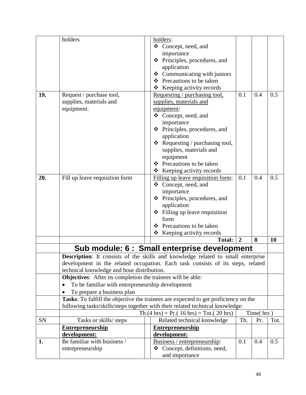<span id="page-48-0"></span>

|     | holders                                                            | holders:                                                                            |                |           |      |
|-----|--------------------------------------------------------------------|-------------------------------------------------------------------------------------|----------------|-----------|------|
|     |                                                                    | ❖ Concept, need, and                                                                |                |           |      |
|     |                                                                    | importance                                                                          |                |           |      |
|     |                                                                    | ❖ Principles, procedures, and                                                       |                |           |      |
|     |                                                                    | application                                                                         |                |           |      |
|     |                                                                    | $\triangleleft$ Communicating with juniors                                          |                |           |      |
|     |                                                                    | Precautions to be taken<br>❖                                                        |                |           |      |
|     |                                                                    | Keeping activity records<br>❖                                                       |                |           |      |
| 19. | Request / purchase tool,                                           | Requesting / purchasing tool,                                                       | 0.1            | 0.4       | 0.5  |
|     | supplies, materials and                                            | supplies, materials and                                                             |                |           |      |
|     | equipment.                                                         | equipment:                                                                          |                |           |      |
|     |                                                                    | ❖ Concept, need, and                                                                |                |           |      |
|     |                                                                    | importance                                                                          |                |           |      |
|     |                                                                    | Principles, procedures, and<br>❖                                                    |                |           |      |
|     |                                                                    | application                                                                         |                |           |      |
|     |                                                                    | $\triangleleft$ Requesting / purchasing tool,                                       |                |           |      |
|     |                                                                    | supplies, materials and                                                             |                |           |      |
|     |                                                                    | equipment                                                                           |                |           |      |
|     |                                                                    | ❖ Precautions to be taken                                                           |                |           |      |
|     |                                                                    | Keeping activity records<br>❖                                                       |                |           |      |
| 20. | Fill up leave requisition form                                     | Filling up leave requisition form:                                                  | 0.1            | 0.4       | 0.5  |
|     |                                                                    | ❖ Concept, need, and                                                                |                |           |      |
|     |                                                                    | importance                                                                          |                |           |      |
|     |                                                                    | Principles, procedures, and<br>❖                                                    |                |           |      |
|     |                                                                    | application                                                                         |                |           |      |
|     |                                                                    | Filling up leave requisition<br>❖                                                   |                |           |      |
|     |                                                                    | form                                                                                |                |           |      |
|     |                                                                    | Precautions to be taken<br>❖                                                        |                |           |      |
|     |                                                                    | ❖<br>Keeping activity records                                                       |                |           |      |
|     |                                                                    | <b>Total:</b>                                                                       | $\overline{2}$ | 8         | 10   |
|     |                                                                    |                                                                                     |                |           |      |
|     |                                                                    | Sub module: 6 : Small enterprise development                                        |                |           |      |
|     |                                                                    | Description: It consists of the skills and knowledge related to small enterprise    |                |           |      |
|     |                                                                    | development in the related occupation. Each task consists of its steps, related     |                |           |      |
|     | technical knowledge and hour distribution.                         |                                                                                     |                |           |      |
|     | <b>Objectives:</b> After its completion the trainees will be able: |                                                                                     |                |           |      |
|     | To be familiar with entrepreneurship development<br>$\bullet$      |                                                                                     |                |           |      |
|     | To prepare a business plan                                         |                                                                                     |                |           |      |
|     |                                                                    | Tasks: To fulfill the objective the trainees are expected to get proficiency on the |                |           |      |
|     |                                                                    | following tasks/skills/steps together with their related technical knowledge:       |                |           |      |
|     |                                                                    | $Th.(4 hrs) + Pr.(16 hrs) = Tot.(20 hrs)$                                           |                | Time(hrs) |      |
| SN  | Tasks or skills/ steps                                             | Related technical knowledge                                                         | Th.            | Pr.       | Tot. |
|     | <b>Entrepreneurship</b>                                            | <b>Entrepreneurship</b>                                                             |                |           |      |
|     | development:                                                       | development:                                                                        |                |           |      |
| 1.  | Be familiar with business /                                        | Business / entrepreneurship:                                                        | 0.1            | 0.4       | 0.5  |
|     | entrepreneurship                                                   | ❖ Concept, definitions, need,                                                       |                |           |      |
|     |                                                                    | and importance                                                                      |                |           |      |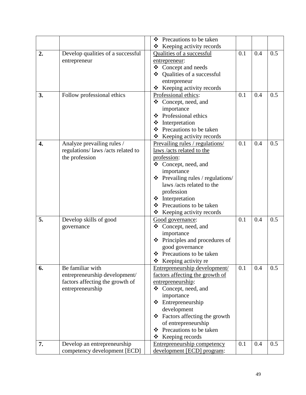|    |                                   | Precautions to be taken<br>❖           |     |     |     |
|----|-----------------------------------|----------------------------------------|-----|-----|-----|
|    |                                   | ❖                                      |     |     |     |
|    |                                   | Keeping activity records               | 0.1 | 0.4 | 0.5 |
| 2. | Develop qualities of a successful | Qualities of a successful              |     |     |     |
|    | entrepreneur                      | entrepreneur:                          |     |     |     |
|    |                                   | ❖ Concept and needs<br>❖               |     |     |     |
|    |                                   | Qualities of a successful              |     |     |     |
|    |                                   | entrepreneur                           |     |     |     |
|    |                                   | Keeping activity records<br>❖          |     |     |     |
| 3. | Follow professional ethics        | Professional ethics:                   | 0.1 | 0.4 | 0.5 |
|    |                                   | ❖ Concept, need, and                   |     |     |     |
|    |                                   | importance                             |     |     |     |
|    |                                   | ❖ Professional ethics                  |     |     |     |
|    |                                   | ❖<br>Interpretation                    |     |     |     |
|    |                                   | Precautions to be taken<br>❖           |     |     |     |
|    |                                   | Keeping activity records<br>❖          |     |     |     |
| 4. | Analyze prevailing rules /        | Prevailing rules / regulations/        | 0.1 | 0.4 | 0.5 |
|    | regulations/laws/acts related to  | laws /acts related to the              |     |     |     |
|    | the profession                    | profession:                            |     |     |     |
|    |                                   | ❖ Concept, need, and                   |     |     |     |
|    |                                   | importance                             |     |     |     |
|    |                                   | $\div$ Prevailing rules / regulations/ |     |     |     |
|    |                                   | laws /acts related to the              |     |     |     |
|    |                                   | profession                             |     |     |     |
|    |                                   | ❖ Interpretation                       |     |     |     |
|    |                                   | ❖ Precautions to be taken              |     |     |     |
|    |                                   | Keeping activity records<br>❖          |     |     |     |
| 5. | Develop skills of good            | Good governance:                       | 0.1 | 0.4 | 0.5 |
|    | governance                        | ❖ Concept, need, and                   |     |     |     |
|    |                                   | importance                             |     |     |     |
|    |                                   | $\div$ Principles and procedures of    |     |     |     |
|    |                                   | good governance                        |     |     |     |
|    |                                   | ❖ Precautions to be taken              |     |     |     |
|    |                                   | $\triangle$ Keeping activity re        |     |     |     |
| 6. | Be familiar with                  | Entrepreneurship development/          | 0.1 | 0.4 | 0.5 |
|    | entrepreneurship development/     | factors affecting the growth of        |     |     |     |
|    | factors affecting the growth of   | entrepreneurship:                      |     |     |     |
|    | entrepreneurship                  | ❖ Concept, need, and                   |     |     |     |
|    |                                   | importance                             |     |     |     |
|    |                                   | Entrepreneurship<br>❖                  |     |     |     |
|    |                                   | development                            |     |     |     |
|    |                                   | ❖ Factors affecting the growth         |     |     |     |
|    |                                   | of entrepreneurship                    |     |     |     |
|    |                                   | Precautions to be taken<br>❖           |     |     |     |
|    |                                   | ❖<br>Keeping records                   |     |     |     |
| 7. | Develop an entrepreneurship       | Entrepreneurship competency            | 0.1 | 0.4 | 0.5 |
|    | competency development [ECD]      | development [ECD] program:             |     |     |     |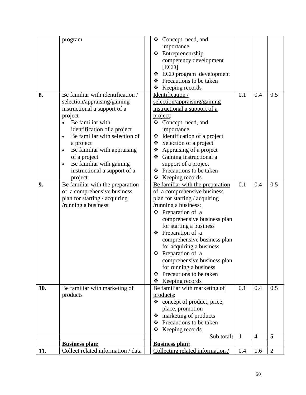|     | program                                    | $\triangleleft$ Concept, need, and |              |                         |                |
|-----|--------------------------------------------|------------------------------------|--------------|-------------------------|----------------|
|     |                                            | importance                         |              |                         |                |
|     |                                            | ❖ Entrepreneurship                 |              |                         |                |
|     |                                            |                                    |              |                         |                |
|     |                                            | competency development             |              |                         |                |
|     |                                            | [ECD]                              |              |                         |                |
|     |                                            | ECD program development<br>❖       |              |                         |                |
|     |                                            | Precautions to be taken<br>❖       |              |                         |                |
|     |                                            | $\triangleleft$ Keeping records    |              |                         |                |
| 8.  | Be familiar with identification /          | Identification /                   | 0.1          | 0.4                     | 0.5            |
|     | selection/appraising/gaining               | selection/appraising/gaining       |              |                         |                |
|     | instructional a support of a               | instructional a support of a       |              |                         |                |
|     | project                                    | project:                           |              |                         |                |
|     | Be familiar with<br>$\bullet$              | Concept, need, and<br>❖            |              |                         |                |
|     | identification of a project                | importance                         |              |                         |                |
|     | Be familiar with selection of<br>$\bullet$ | Identification of a project<br>❖   |              |                         |                |
|     | a project                                  | Selection of a project             |              |                         |                |
|     | Be familiar with appraising<br>$\bullet$   | Appraising of a project<br>❖       |              |                         |                |
|     | of a project                               | ❖ Gaining instructional a          |              |                         |                |
|     | Be familiar with gaining<br>$\bullet$      | support of a project               |              |                         |                |
|     | instructional a support of a               | Precautions to be taken<br>❖       |              |                         |                |
|     |                                            | ❖                                  |              |                         |                |
|     | project                                    | Keeping records                    |              |                         |                |
| 9.  | Be familiar with the preparation           | Be familiar with the preparation   | 0.1          | 0.4                     | 0.5            |
|     | of a comprehensive business                | of a comprehensive business        |              |                         |                |
|     | plan for starting / acquiring              | plan for starting / acquiring      |              |                         |                |
|     | /running a business                        | /running a business:               |              |                         |                |
|     |                                            | ❖ Preparation of a                 |              |                         |                |
|     |                                            | comprehensive business plan        |              |                         |                |
|     |                                            | for starting a business            |              |                         |                |
|     |                                            | ❖ Preparation of a                 |              |                         |                |
|     |                                            | comprehensive business plan        |              |                         |                |
|     |                                            | for acquiring a business           |              |                         |                |
|     |                                            | ❖ Preparation of a                 |              |                         |                |
|     |                                            | comprehensive business plan        |              |                         |                |
|     |                                            | for running a business             |              |                         |                |
|     |                                            | Precautions to be taken<br>❖       |              |                         |                |
|     |                                            | Keeping records<br>❖               |              |                         |                |
| 10. | Be familiar with marketing of              | Be familiar with marketing of      | 0.1          | 0.4                     | 0.5            |
|     | products                                   | products:                          |              |                         |                |
|     |                                            | ❖<br>concept of product, price,    |              |                         |                |
|     |                                            | place, promotion                   |              |                         |                |
|     |                                            | marketing of products<br>❖         |              |                         |                |
|     |                                            | Precautions to be taken            |              |                         |                |
|     |                                            | ❖                                  |              |                         |                |
|     |                                            | Keeping records<br>❖               |              |                         |                |
|     |                                            | Sub total:                         | $\mathbf{1}$ | $\overline{\mathbf{4}}$ | 5              |
|     | <b>Business plan:</b>                      | <b>Business plan:</b>              |              |                         |                |
| 11. | Collect related information / data         | Collecting related information /   | 0.4          | 1.6                     | $\overline{2}$ |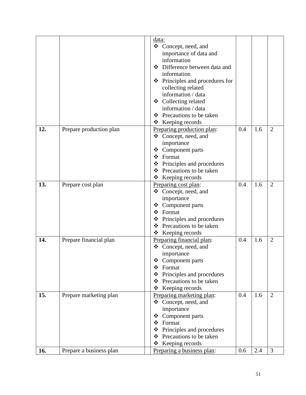|     |                         | <u>data:</u>                                                   |     |     |                |
|-----|-------------------------|----------------------------------------------------------------|-----|-----|----------------|
|     |                         | ❖ Concept, need, and                                           |     |     |                |
|     |                         | importance of data and                                         |     |     |                |
|     |                         | information                                                    |     |     |                |
|     |                         | ❖ Difference between data and                                  |     |     |                |
|     |                         | information                                                    |     |     |                |
|     |                         | Principles and procedures for<br>❖                             |     |     |                |
|     |                         | collecting related                                             |     |     |                |
|     |                         | information / data                                             |     |     |                |
|     |                         | ❖ Collecting related                                           |     |     |                |
|     |                         | information / data                                             |     |     |                |
|     |                         | ❖ Precautions to be taken                                      |     |     |                |
|     |                         | $\triangle$ Keeping records                                    |     |     |                |
| 12. | Prepare production plan | Preparing production plan:                                     | 0.4 | 1.6 | $\overline{2}$ |
|     |                         | ❖ Concept, need, and                                           |     |     |                |
|     |                         | importance                                                     |     |     |                |
|     |                         | Component parts<br>❖                                           |     |     |                |
|     |                         | ❖ Format                                                       |     |     |                |
|     |                         | ❖ Principles and procedures                                    |     |     |                |
|     |                         | Precautions to be taken<br>❖                                   |     |     |                |
|     |                         | ❖ Keeping records                                              |     |     |                |
| 13. | Prepare cost plan       | Preparing cost plan:                                           | 0.4 | 1.6 | $\overline{2}$ |
|     |                         | ❖<br>Concept, need, and                                        |     |     |                |
|     |                         | importance                                                     |     |     |                |
|     |                         |                                                                |     |     |                |
|     |                         | ❖ Component parts<br>Format<br>❖                               |     |     |                |
|     |                         |                                                                |     |     |                |
|     |                         | Principles and procedures<br>❖<br>Precautions to be taken<br>❖ |     |     |                |
|     |                         | ❖                                                              |     |     |                |
| 14. | Prepare financial plan  | Keeping records                                                | 0.4 | 1.6 | $\overline{2}$ |
|     |                         | Preparing financial plan:                                      |     |     |                |
|     |                         | ❖ Concept, need, and                                           |     |     |                |
|     |                         | importance                                                     |     |     |                |
|     |                         | Component parts<br>❖                                           |     |     |                |
|     |                         | Format<br>❖                                                    |     |     |                |
|     |                         | $\div$ Principles and procedures                               |     |     |                |
|     |                         | Precautions to be taken<br>❖                                   |     |     |                |
|     |                         | Keeping records<br>❖                                           |     |     |                |
| 15. | Prepare marketing plan  | Preparing marketing plan:                                      | 0.4 | 1.6 | $\overline{2}$ |
|     |                         | Concept, need, and<br>❖                                        |     |     |                |
|     |                         | importance                                                     |     |     |                |
|     |                         | ❖ Component parts                                              |     |     |                |
|     |                         | Format<br>❖                                                    |     |     |                |
|     |                         | Principles and procedures<br>❖                                 |     |     |                |
|     |                         | Precautions to be taken<br>❖                                   |     |     |                |
|     |                         | Keeping records<br>❖                                           |     |     |                |
| 16. | Prepare a business plan | Preparing a business plan:                                     | 0.6 | 2.4 | 3              |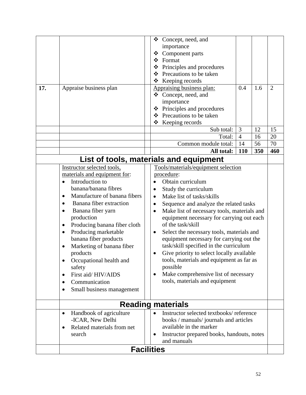<span id="page-52-2"></span><span id="page-52-1"></span><span id="page-52-0"></span>

|                          |                                           | ❖         | Concept, need, and                          |                |     |                |
|--------------------------|-------------------------------------------|-----------|---------------------------------------------|----------------|-----|----------------|
|                          |                                           |           | importance                                  |                |     |                |
|                          |                                           | ❖         | Component parts                             |                |     |                |
|                          |                                           | ❖         | Format                                      |                |     |                |
|                          |                                           | ❖         | Principles and procedures                   |                |     |                |
|                          |                                           | $\cdot$   | Precautions to be taken                     |                |     |                |
|                          |                                           | ❖         | Keeping records                             |                |     |                |
| 17.                      | Appraise business plan                    |           | Appraising business plan:                   | 0.4            | 1.6 | $\overline{2}$ |
|                          |                                           |           | ❖ Concept, need, and                        |                |     |                |
|                          |                                           |           | importance                                  |                |     |                |
|                          |                                           | ❖         | Principles and procedures                   |                |     |                |
|                          |                                           |           | ❖ Precautions to be taken                   |                |     |                |
|                          |                                           | ❖         | Keeping records                             |                |     |                |
|                          |                                           |           | Sub total:                                  | 3              | 12  | 15             |
|                          |                                           |           | Total:                                      | $\overline{4}$ | 16  | 20             |
|                          |                                           |           | Common module total:                        | 14             | 56  | 70             |
|                          |                                           |           | All total:                                  | 110            | 350 | 460            |
|                          |                                           |           | List of tools, materials and equipment      |                |     |                |
|                          | Instructor selected tools,                |           | Tools/materials/equipment selection         |                |     |                |
|                          | materials and equipment for:              |           | procedure:                                  |                |     |                |
|                          | Introduction to<br>$\bullet$              |           | Obtain curriculum                           |                |     |                |
|                          | banana/banana fibres                      |           |                                             |                |     |                |
|                          | Manufacture of banana fibers              | $\bullet$ | Study the curriculum                        |                |     |                |
|                          | $\bullet$                                 | $\bullet$ | Make list of tasks/skills                   |                |     |                |
|                          | Banana fiber extraction<br>$\bullet$      | $\bullet$ | Sequence and analyze the related tasks      |                |     |                |
|                          | Banana fiber yarn<br>$\bullet$            | $\bullet$ | Make list of necessary tools, materials and |                |     |                |
|                          | production                                |           | equipment necessary for carrying out each   |                |     |                |
|                          | Producing banana fiber cloth<br>$\bullet$ |           | of the task/skill                           |                |     |                |
|                          | Producing marketable<br>$\bullet$         | $\bullet$ | Select the necessary tools, materials and   |                |     |                |
|                          | banana fiber products                     |           | equipment necessary for carrying out the    |                |     |                |
|                          | Marketing of banana fiber<br>$\bullet$    |           | task/skill specified in the curriculum      |                |     |                |
|                          | products                                  |           | Give priority to select locally available   |                |     |                |
|                          | Occupational health and                   |           | tools, materials and equipment as far as    |                |     |                |
|                          | safety                                    |           | possible                                    |                |     |                |
|                          | First aid/HIV/AIDS<br>٠                   | $\bullet$ | Make comprehensive list of necessary        |                |     |                |
|                          | Communication                             |           | tools, materials and equipment              |                |     |                |
|                          | Small business management<br>$\bullet$    |           |                                             |                |     |                |
|                          |                                           |           |                                             |                |     |                |
| <b>Reading materials</b> |                                           |           |                                             |                |     |                |
|                          | Handbook of agriculture<br>$\bullet$      | $\bullet$ | Instructor selected textbooks/reference     |                |     |                |
|                          | -ICAR, New Delhi                          |           | books / manuals/ journals and articles      |                |     |                |
|                          | Related materials from net<br>$\bullet$   |           | available in the marker                     |                |     |                |
|                          | search                                    |           | Instructor prepared books, handouts, notes  |                |     |                |
|                          |                                           |           | and manuals                                 |                |     |                |
|                          | <b>Facilities</b>                         |           |                                             |                |     |                |